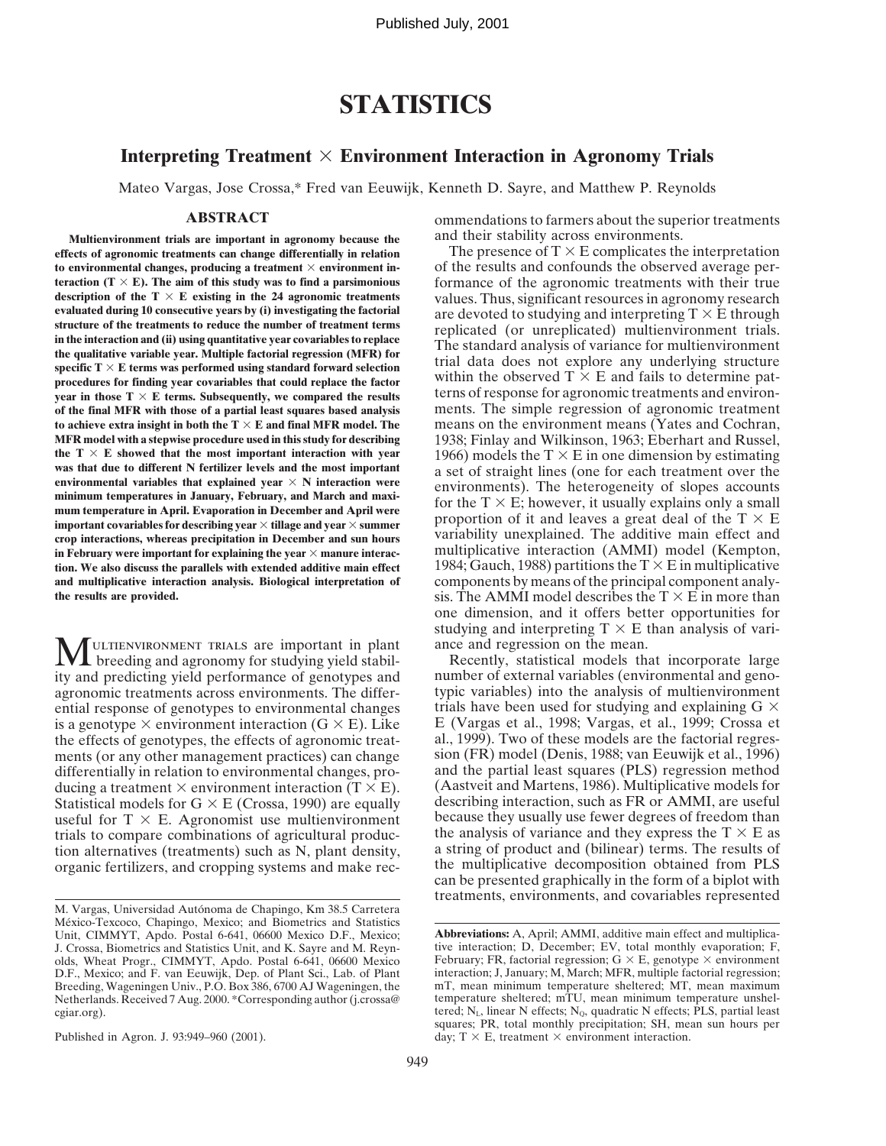Published July, 2001

# **STATISTICS**

### **Interpreting Treatment**  $\times$  **Environment Interaction in Agronomy Trials**

Mateo Vargas, Jose Crossa,\* Fred van Eeuwijk, Kenneth D. Sayre, and Matthew P. Reynolds

**Multienvironment trials are important in agronomy because the** and their stability across environments.<br> **Example 20** is a seronomic treatments can change differentially in relation The presence of  $T \times E$  complicates the **effects of agronomic treatments can change differentially in relation** The presence of  $T \times E$  complicates the interpretation to environmental changes, producing a treatment  $\times$  environment in-<br>of the results and confoun to environmental changes, producing a treatment  $\times$  environment in**teraction (T**  $\times$  **E). The aim of this study was to find a parsimonious** formance of the agronomic treatments with their true description of the  $T \times E$  existing in the 24 agronomic treatments values. Thus significant re description of the T  $\times$  E existing in the 24 agronomic treatments<br>evaluated during 10 consecutive years by (i) investigating the factorial<br>structure of the treatments to reduce the number of treatment terms<br>in the inter procedures for finding year covariables that could replace the factor<br>year in those  $T \times E$  terms. Subsequently, we compared the results<br>of the final MFR with those of a partial least squares based analysis ments. The simp of the final MFR with those of a partial least squares based analysis **to achieve extra insight in both the T**  $\times$  **E** and final MFR model. The means on the environment means (Yates and Cochran, MFR model with a stepwise procedure used in this study for describing 1938; Finlay and Wilkinson **MFR model with a stepwise procedure used in this study for describing** 1938; Finlay and Wilkinson, 1963; Eberhart and Russel, the  $T \times E$  showed that the most important interaction with year 1966) models the  $T \times E$  in one the T  $\times$  E showed that the most important interaction with year<br>was that due to different N fertilizer levels and the most important<br>environmental variables that explained year  $\times$  N interaction were<br>minimum temperatur in February were important for explaining the year  $\times$  manure interac-<br>
multiplicative interaction (AMMI) model (Kempton, **tion. We also discuss the parallels with extended additive main effect** 1984; Gauch, 1988) partitions the  $T \times E$  in multiplicative **and multiplicative interaction analysis. Biological interpretation of** components by means of the principal component analy-<br>the results are provided.<br>Sis. The AMMI model describes the T  $\times$  E in more than

MULTIENVIRONMENT TRIALS are important in plant ance and regression on the mean.<br>
breeding and agronomy for studying yield stabil-<br>
breeding and agronomy for studying yield stabil-<br>
pumber of external variables (opyrronomet ity and predicting yield performance of genotypes and number of external variables (environmental and geno-<br>agronomic treatments across environments. The differ-<br>typic variables) into the analysis of multienvironment agronomic treatments across environments. The differ-<br>ential variables) into the analysis of multienvironment<br>ential response of genotypes to environmental changes trials have been used for studying and explaining  $G \times$ ential response of genotypes to environmental changes is a genotype  $\times$  environment interaction (G  $\times$  E). Like E (Vargas et al., 1998; Vargas, et al., 1999; Crossa et the effects of genotypes, the effects of agronomic treat-<br>al., 1999). Two of these models are the factori the effects of genotypes, the effects of agronomic treat-<br>ments (or any other management practices) can change sion (FR) model (Denis, 1988; van Eeuwijk et al., 1996) ments (or any other management practices) can change sion (FR) model (Denis, 1988; van Eeuwijk et al., 1996) differentially in relation to environmental changes, pro-<br>and the partial least squares (PLS) regression method differentially in relation to environmental changes, pro-<br>ducing a treatment  $\times$  environment interaction (T  $\times$  E). (Aastveit and Martens, 1986). Multiplicative models for ducing a treatment  $\times$  environment interaction (T  $\times$  E). (Aastveit and Martens, 1986). Multiplicative models for Statistical models for G  $\times$  E (Crossa, 1990) are equally describing interaction, such as FR or AMMI, ar Statistical models for  $G \times E$  (Crossa, 1990) are equally describing interaction, such as FR or AMMI, are useful<br>useful for  $T \times E$  Agronomist use multienvironment because they usually use fewer degrees of freedom than useful for  $T \times E$ . Agronomist use multienvironment because they usually use fewer degrees of freedom than trials to compare combinations of agricultural production-<br>the analysis of variance and they express the  $T \times E$  as trials to compare combinations of agricultural produc-<br>the analysis of variance and they express the T  $\times$  E as<br>tion alternatives (treatments) such as N, plant density, a string of product and (bilinear) terms. The resul tion alternatives (treatments) such as N, plant density, a string of product and (bilinear) terms. The results of organic fertilizers, and cropping systems and make rec-<br>the multiplicative decomposition obtained from PLS organic fertilizers, and cropping systems and make rec-

**ABSTRACT** ommendations to farmers about the superior treatments

sis. The AMMI model describes the  $T \times E$  in more than one dimension, and it offers better opportunities for studying and interpreting  $T \times E$  than analysis of vari-

can be presented graphically in the form of a biplot with treatments, environments, and covariables represented

M. Vargas, Universidad Autónoma de Chapingo, Km 38.5 Carretera México-Texcoco, Chapingo, Mexico; and Biometrics and Statistics Unit, CIMMYT, Apdo. Postal 6-641, 06600 Mexico D.F., Mexico; **Abbreviations:** A, April; AMMI, additive main effect and multiplica-<br>J. Crossa, Biometrics and Statistics Unit, and K. Sayre and M. Reyn-tive interaction; D, De olds, Wheat Progr., CIMMYT, Apdo. Postal 6-641, 06600 Mexico D.F., Mexico; and F. van Eeuwijk, Dep. of Plant Sci., Lab. of Plant Netherlands. Received 7 Aug. 2000. \*Corresponding author (j.crossa@

J. Crossa, Biometrics and Statistics Unit, and K. Sayre and M. Reyn-<br>
olds. Wheat Progr., CIMMYT. Ando. Postal 6-641, 06600 Mexico<br>
February; FR, factorial regression; G  $\times$  E, genotype  $\times$  environment interaction; J. January; M. March; MFR, multiple factorial regression; mT, mean minimum temperature sheltered; MT, mean maximum Breeding, Wageningen Univ., P.O. Box 386, 6700 AJ Wageningen, the mT, mean minimum temperature sheltered; MT, mean maximum Netherlands. Received 7 Aug. 2000. \*Corresponding author (j.crossa@temperature sheltered; mTU, mean cgiar.org). tered;  $N_L$ , linear N effects;  $N_Q$ , quadratic N effects; PLS, partial least squares; PR, total monthly precipitation; SH, mean sun hours per Published in Agron. J. 93:949–960 (2001). day;  $T \times E$ , treatment  $\times$  environment interaction.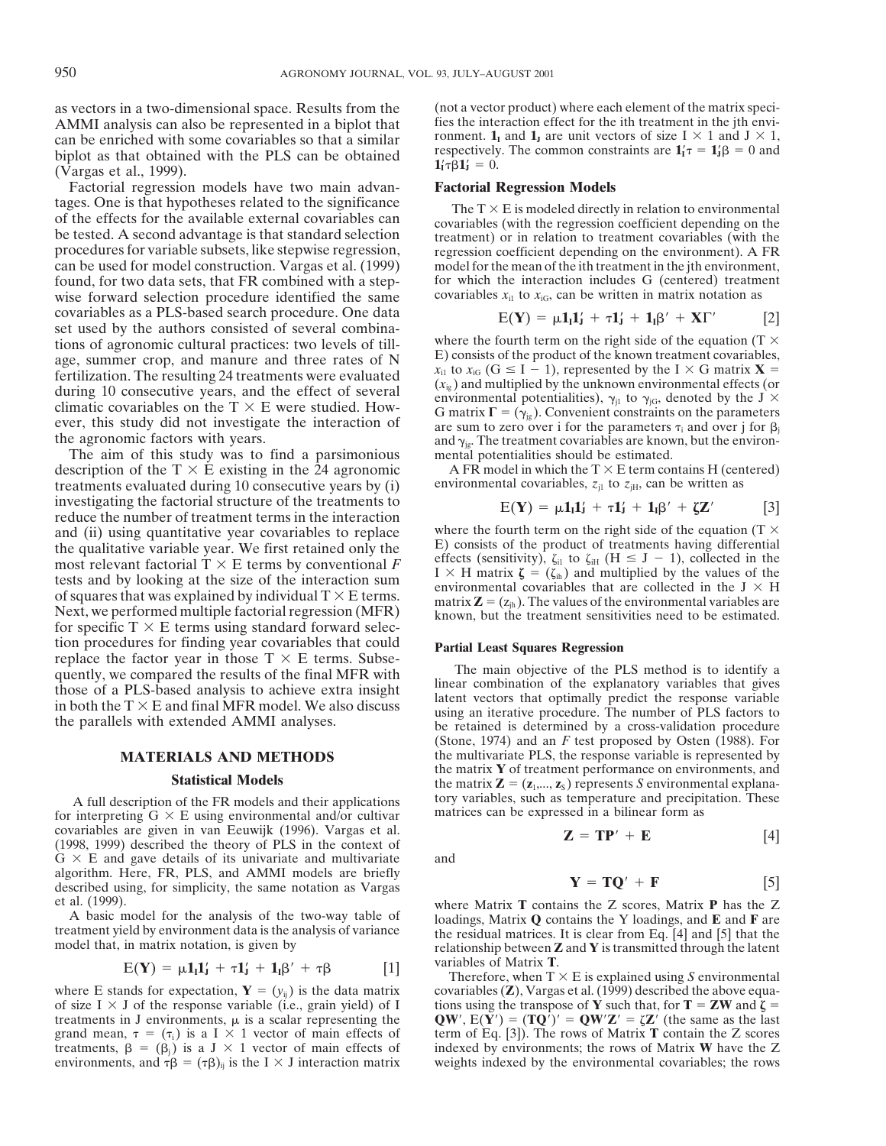AMMI analysis can also be represented in a biplot that fies the interaction effect for the ith treatment in the jth envi-<br>can be enriched with some covariables so that a similar forment.  $\mathbf{1}_I$  and  $\mathbf{1}_J$  are unit v can be enriched with some covariables so that a similar biplot as that obtained with the PLS can be obtained respectively. The common constraints are  $\mathbf{1}'_1 \tau = \mathbf{1}'_1 \beta = 0$  and  $\mathbf{1}'_1 \tau \beta \mathbf{1}'_1 = 0$ . biplot as that obtained with the PLS can be obtained (Vargas et al., 1999).

Factorial regression models have two main advan- **Factorial Regression Models** tages. One is that hypotheses related to the significance<br>of the effects for the available external covariables can<br>be tested. A second advantage is that standard selection<br>procedures for variable subsets, like stepwise r can be used for model construction. Vargas et al. (1999) model for the mean of the ith treatment in the jth environment, found, for two data sets, that FR combined with a step-<br>wise for which the interaction includes G (centered) treatment<br>wise forward selection procedure identified the same<br>covariables  $x_{i1}$  to  $x_{i0}$ , can be written in wise forward selection procedure identified the same covariables as a PLS-based search procedure. One data set used by the authors consisted of several combina-<br>tions of agronomic cultural practices: two levels of till, where the fourth term on the right side of the equation (T  $\times$ tions of agronomic cultural practices: two levels of till-<br>age summer crop, and manure and three rates of  $N$   $E$ ) consists of the product of the known treatment covariables, age, summer crop, and manure and three rates of N E) consists of the product of the known treatment covariables,<br>fertilization. The resulting 24 treatments were evaluated<br>during 10 consecutive years, and the effect of sev

The aim of this study was to find a parsimonious description of the T  $\times$  E existing in the 24 agronomic A FR model in which the T  $\times$  E term contains H (centered) treatments evaluated during 10 consecutive years by (i) environmental covariables,  $z_{j1}$  to  $z_{j1}$ , c treatments evaluated during 10 consecutive years by (i) investigating the factorial structure of the treatments to Figure the number of treatment terms in the interaction<br>and (ii) using quantitative year covariables to replace<br>where the fourth term on the right side of the equation (T  $\times$ and (ii) using quantitative year covariables to replace where the fourth term on the right side of the equation (T  $\times$  the qualitative variable year. We first retained only the  $\overline{E}$ ) consists of the product of treatm the qualitative variable year. We first retained only the<br>
most relevant factorial  $T \times E$  terms by conventional  $F$ <br>
tests and by looking at the size of the interaction sum<br>
of squares that was explained by individual  $T \$ tion procedures for finding year covariables that could<br> **Partial Least Squares Regression**<br>
The main objective of the PLS method is to identify a<br>
The main objective of the PLS method is to identify a

for interpreting  $G \times E$  using environmental and/or cultivar covariables are given in van Eeuwijk (1996). Vargas et al. **Z** = **TP**<sup> $\prime$ </sup> + **E** [4] (1998, 1999) described the theory of PLS in the context of G  $\times$  E and gave details of its univariate and multivariate and  $G \times E$  and gave details of its univariate and multivariate algorithm. Here, FR, PLS, and AMMI models are briefly described using, for simplicity, the same notation as Vargas

$$
E(\mathbf{Y}) = \mu \mathbf{1}_I \mathbf{1}_J' + \tau \mathbf{1}_J' + \mathbf{1}_I \beta' + \tau \beta \qquad [1]
$$

of size I  $\times$  J of the response variable (i.e., grain yield) of I tions using the transpose of **Y** such that, for **T** = **ZW** and  $\zeta$  = treatments in J environments,  $\mu$  is a scalar representing the **QW'**,  $E(Y') = (TQ')' = Q$ grand mean,  $\tau = (\tau_i)$  is a I  $\times$  1 vector of main effects of term of Eq. [3]). The rows of Matrix **T** contain the Z scores treatments,  $\beta = (\beta_i)$  is a J  $\times$  1 vector of main effects of indexed by environments; the rows o environments, and  $\tau \beta = (\tau \beta)_{ij}$  is the I  $\times$  J interaction matrix

as vectors in a two-dimensional space. Results from the (not a vector product) where each element of the matrix speci-<br>AMMI analysis can also be represented in a biplot that fies the interaction effect for the ith treatmen  $1'_I \tau \bar{\beta} 1'_J = 0.$ 

$$
E(\mathbf{Y}) = \mu \mathbf{1}_{I} \mathbf{1}'_{J} + \tau \mathbf{1}'_{J} + \mathbf{1}_{I} \beta' + \mathbf{X} \Gamma'
$$
 [2]

ever, this study did not investigate the interaction of are sum to zero over i for the parameters  $\tau_i$  and over j for  $\beta_j$  and  $\gamma_{jg}$ . The treatment covariables are known, but the environ-<br>The aim of this study was to

$$
E(\mathbf{Y}) = \mu \mathbf{1}_I \mathbf{1}_J' + \tau \mathbf{1}_J' + \mathbf{1}_I \boldsymbol{\beta}' + \zeta \mathbf{Z}'
$$
 [3]

quently, we compared the results of the final MFR with<br>those of a PLS-based analysis to achieve extra insight<br>in both the  $T \times E$  and final MFR model. We also discuss<br>the parallels with extended AMMI analyses.<br>the parallel (Stone, 1974) and an *F* test proposed by Osten (1988). For **MATERIALS AND METHODS** the multivariate PLS, the response variable is represented by the matrix **Y** of treatment performance on environments, and **Statistical Models** the matrix  $\mathbf{Z} = (\mathbf{z}_1, ..., \mathbf{z}_S)$  represents *S* environmental explana-A full description of the FR models and their applications tory variables, such as temperature and precipitation. These interpreting  $G \times E$  using environmental and/or cultivar matrices can be expressed in a bilinear form

$$
\mathbf{Z} = \mathbf{T} \mathbf{P}' + \mathbf{E} \tag{4}
$$

$$
\mathbf{Y} = \mathbf{TQ}' + \mathbf{F} \tag{5}
$$

et al. (1999). where Matrix **T** contains the Z scores, Matrix **P** has the Z A basic model for the analysis of the two-way table of loadings, Matrix  $Q$  contains the Y loadings, and E and F are<br>treatment yield by environment data is the analysis of variance the residual matrices. It is clear from variables of Matrix **T**.

Therefore, when  $T \times E$  is explained using *S* environmental where E stands for expectation,  $\mathbf{Y} = (y_{ij})$  is the data matrix covariables (**Z**), Vargas et al. (1999) described the above equa-<br>of size I  $\times$  J of the response variable (i.e., grain yield) of I tions using the transp  $QW'$ ,  $E(\overline{Y}') = (TQ')' = QW'Z' = \zeta Z'$  (the same as the last indexed by environments; the rows of Matrix **W** have the Z weights indexed by the environmental covariables; the rows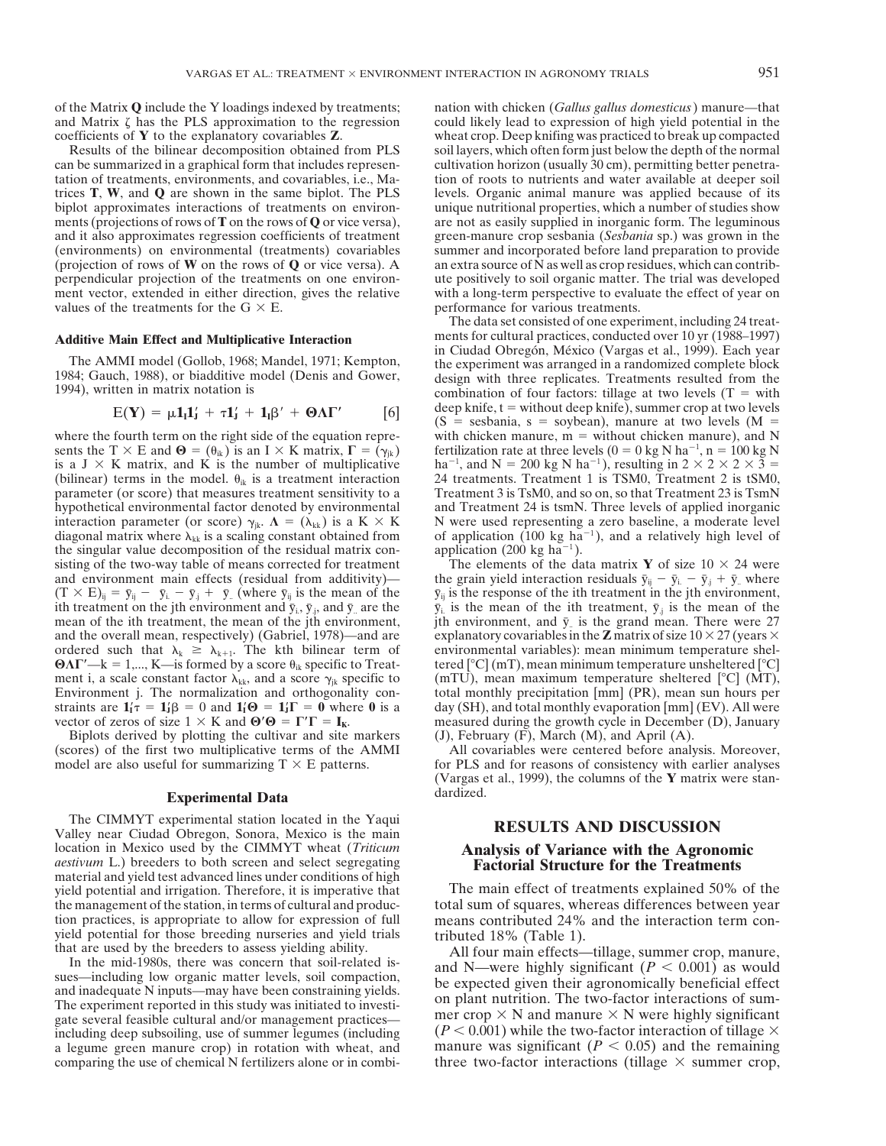of the Matrix **Q** include the Y loadings indexed by treatments; nation with chicken (*Gallus gallus domesticus*) manure—that

can be summarized in a graphical form that includes represenvalues of the treatments for the  $G \times E$ . performance for various treatments.

$$
E(\mathbf{Y}) = \mu \mathbf{1}_{I} \mathbf{1}'_{J} + \tau \mathbf{1}'_{J} + \mathbf{1}_{I} \beta' + \mathbf{\Theta} \Lambda \Gamma' \qquad [6]
$$

sents the T  $\times$  E and  $\mathbf{\Theta} = (\theta_{ik})$  is an I  $\times$  K matrix,  $\mathbf{\Gamma} = (\gamma_{ik})$ is a J  $\times$  K matrix, and K is the number of multiplicative  $ha^{-1}$ , and N = 200 kg N ha<sup>-1</sup>), resulting in 2  $\times$  2  $\times$  2  $\times$  3 = (bilinear) terms in the model.  $\theta_{ik}$  is a treatment interaction 24 treatments. Treatment 1 is TSM0, Treatment 2 is tSM0, parameter (or score) that measures treatment sensitivity to a Treatment 3 is TsM0, and so on, so t parameter (or score) that measures treatment sensitivity to a hypothetical environmental factor denoted by environmental and Treatment 24 is tsmN. Three levels of applied inorganic interaction parameter (or score)  $\gamma_{ik}$ .  $\Lambda = (\lambda_{kk})$  is a K  $\times$  K N were used representing a zero baseline, a moderate level diagonal matrix where  $\lambda_{kk}$  is a scaling constant obtained from of application (100 kg ha<sup>-1</sup>), and a relatively high level of the singular value decomposition of the residual matrix con-<br>application (200 kg ha<sup>-1</sup>). the singular value decomposition of the residual matrix consisting of the two-way table of means corrected for treatment The elements of the data matrix **Y** of size  $10 \times 24$  were and environment main effects (residual from additivity)— the grain yield interaction residuals  $\bar{y$ and environment main effects (residual from additivity)—<br>  $(T \times E)_{ii} = \bar{y}_{ii} - \bar{y}_{i.} - \bar{y}_{i.} + \bar{y}_{..}$  (where  $\bar{y}_{ii}$  is the mean of the ith treatment on the jth environment and  $\bar{y}_i$ ,  $\bar{y}_j$ , and  $\bar{y}_i$  are the  $\bar{y}_i$  is the mean of the ith treatment,  $\bar{y}_j$  is the mean of the ith treatment and  $\bar{y}_i$ .  $\bar{y}_j$  is the mean of the is the grand and the overall mean, respectively) (Gabriel, 1978)—and are explanatory covariables in the **Z** matrix of size  $10 \times 27$  (years  $\times$ ordered such that  $\lambda_k \ge \lambda_{k+1}$ . The kth bilinear term of environmental variables): mean minimum temperature shel- $\Theta \Lambda \Gamma'$  = 1,..., K—is formed by a score  $\theta_{ik}$  specific to Treat- tered [°C] (mT), mean minimum temperature unsheltered [°C] ment i, a scale constant factor  $\lambda_{kk}$ , and a score  $\gamma_{ik}$  specific to (mTU), mean maximum temperature sheltered [°C] (MT), Environment j. The normalization and orthogonality con- total monthly precipitation [mm] (PR), mean sun hours per straints are  $\mathbf{1}'_I \tau = \mathbf{1}'_J \beta = 0$  and  $\mathbf{1}'_I \Theta = \mathbf{1}'_J$ vector of zeros of size  $1 \times K$  and  $\Theta' \Theta = \Gamma' \Gamma = I_K$ . measured during the growth cycle in December (D), January

Biplots derived by plotting the cultivar and site markers  $(J)$ , February (F), March (M), and April (A). model are also useful for summarizing  $T \times E$  patterns.

## dardized. **Experimental Data**

The CIMMYT experimental station located in the Yaqui Valley near Ciudad Obregon, Sonora, Mexico is the main **RESULTS AND DISCUSSION** location in Mexico used by the CIMMYT wheat (*Triticum* **Analysis of Variance with the Agronomic** *aestivum* L.) breeders to both screen and select segregating **Factorial Structure for the Treatments** material and yield test advanced lines under conditions of high yield potential and irrigation. Therefore, it is imperative that The main effect of treatments explained 50% of the the management of the station, in terms of cultural and productiontion practices, is appropriate to allow for expression of full means contributed 24% and the interaction term con-

including deep subsoiling, use of summer legumes (including

could likely lead to expression of high yield potential in the coefficients of **Y** to the explanatory covariables **Z**. wheat crop. Deep knifing was practiced to break up compacted Results of the bilinear decomposition obtained from PLS soil layers, which often form just below the depth of the normal<br>n be summarized in a graphical form that includes represen-<br>cultivation horizon (usually 30 cm), perm tation of treatments, environments, and covariables, i.e., Ma- tion of roots to nutrients and water available at deeper soil trices **T**, **W**, and **Q** are shown in the same biplot. The PLS levels. Organic animal manure was applied because of its biplot approximates interactions of treatments on environ-<br>unique nutritional properties, which a numb biplot approximates interactions of treatments on environ-<br>ments (projections of rows of  $\mathbf{T}$  on the rows of  $\mathbf{Q}$  or vice versa), are not as easily supplied in inorganic form. The leguminous are not as easily supplied in inorganic form. The leguminous and it also approximates regression coefficients of treatment green-manure crop sesbania (*Sesbania* sp.) was grown in the (environments) on environmental (treatments) covariables summer and incorporated before land preparation to provide (projection of rows of **W** on the rows of **Q** or vice versa). A an extra source of N as well as crop residues, which can contribperpendicular projection of the treatments on one environ-<br>ment vector, extended in either direction, gives the relative with a long-term perspective to evaluate the effect of year on with a long-term perspective to evaluate the effect of year on

The data set consisted of one experiment, including 24 treat-**Additive Main Effect and Multiplicative Interaction** ments for cultural practices, conducted over 10 yr (1988–1997)<br>in Ciudad Obregón, México (Vargas et al., 1999). Each year The AMMI model (Gollob, 1968; Mandel, 1971; Kempton, the experiment was arranged in a randomized complete block<br>1984; Gauch, 1988), or biadditive model (Denis and Gower, design with three replicates. Treatments resulted f deep knife,  $t =$  without deep knife), summer crop at two levels  $L(Y)$   $\mu_{11}$   $\mu_{21}$   $\cdots$   $\mu_{p}$   $\cdots$   $\mu_{p}$   $\cdots$   $\mu_{p}$   $\cdots$   $\mu_{p}$   $\cdots$   $\mu_{p}$   $\cdots$   $\mu_{p}$   $\cdots$   $\mu_{p}$   $\cdots$   $\cdots$   $\mu_{p}$   $\cdots$   $\cdots$   $\cdots$   $\cdots$   $\cdots$   $\cdots$   $\cdots$   $\cdots$   $\cdots$   $\cdots$   $\cdots$   $\cdots$   $\cdots$  with chicken manure,  $m =$  without chicken manure), and N fertilization rate at three levels  $(0 = 0 \text{ kg N ha}^{-1}, n = 100 \text{ kg N}$ 

> $\bar{y}_{ij}$  is the response of the ith treatment in the jth environment, jth environment, and  $\bar{y}$  is the grand mean. There were 27 day (SH), and total monthly evaporation [mm] (EV). All were

(scores) of the first two multiplicative terms of the AMMI All covariables were centered before analysis. Moreover, model are also useful for summarizing  $T \times E$  patterns. for PLS and for reasons of consistency with earlie (Vargas et al., 1999), the columns of the **Y** matrix were stan-

total sum of squares, whereas differences between year

Next yield potential for those breeding nurseries and yield trials<br>
that are used by the breeders to assess yielding ability.<br>
In the mid-1980s, there was concern that soil-related is-<br>
sues—including low organic matter l The experiment reported in this study was initiated to investi-<br>gate several feasible cultural and/or management practices—<br>including  $\frac{m}{P} < 0.001$  while the two-factor interaction of tillage  $\times$ <br>including deen subsol a legume green manure crop) in rotation with wheat, and manure was significant  $(P < 0.05)$  and the remaining comparing the use of chemical N fertilizers alone or in combi-<br>three two-factor interactions (tillage  $\times$  summer crop,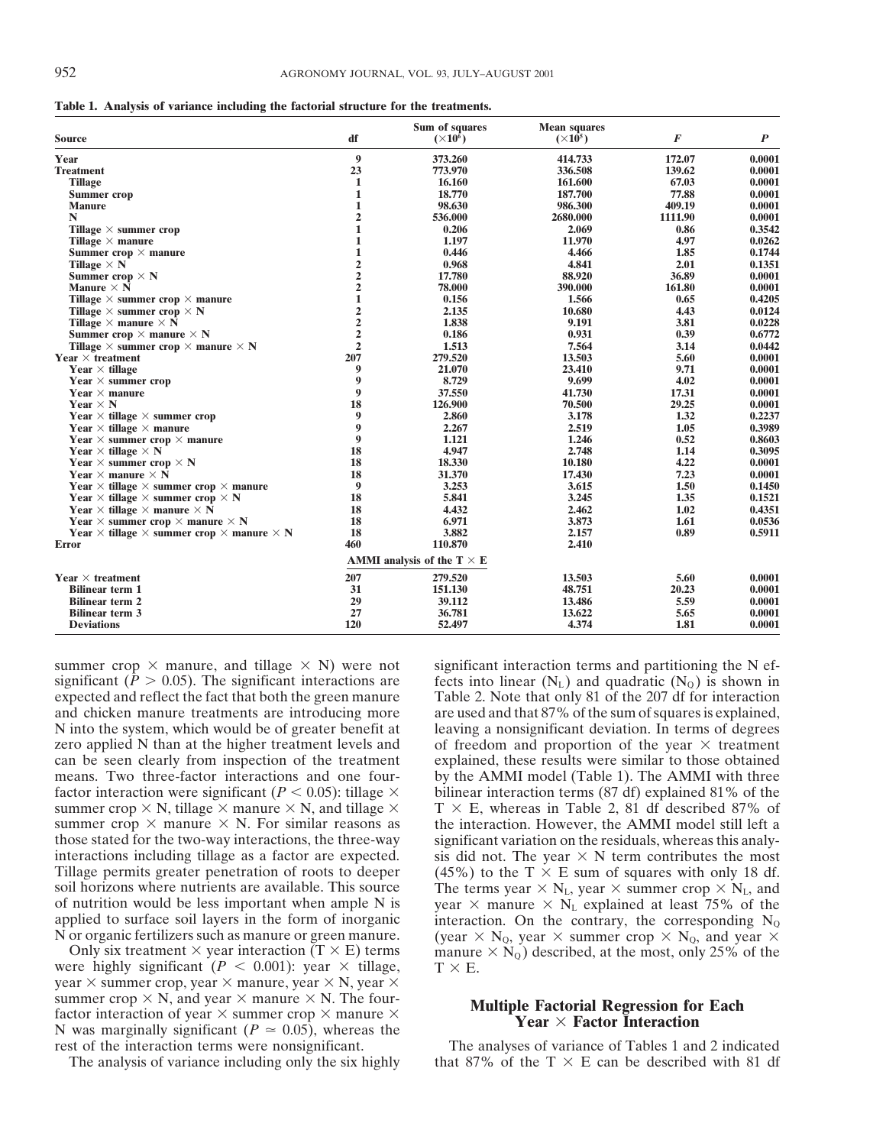**Table 1. Analysis of variance including the factorial structure for the treatments.**

| Source                                                                | df               | Sum of squares<br>$(\times 10^6)$ | <b>Mean squares</b><br>$(\times 10^5)$ | F       | $\boldsymbol{P}$ |
|-----------------------------------------------------------------------|------------------|-----------------------------------|----------------------------------------|---------|------------------|
| Year                                                                  | 9                | 373.260                           | 414.733                                | 172.07  | 0.0001           |
| <b>Treatment</b>                                                      | 23               | 773.970                           | 336.508                                | 139.62  | 0.0001           |
| <b>Tillage</b>                                                        | 1                | 16.160                            | 161.600                                | 67.03   | 0.0001           |
| Summer crop                                                           | 1                | 18.770                            | 187.700                                | 77.88   | 0.0001           |
| <b>Manure</b>                                                         | 1                | 98.630                            | 986.300                                | 409.19  | 0.0001           |
| N                                                                     | $\overline{2}$   | 536.000                           | 2680.000                               | 1111.90 | 0.0001           |
| Tillage $\times$ summer crop                                          | 1                | 0.206                             | 2.069                                  | 0.86    | 0.3542           |
| Tillage $\times$ manure                                               | 1                | 1.197                             | 11.970                                 | 4.97    | 0.0262           |
| Summer $\text{crop} \times \text{manure}$                             | 1                | 0.446                             | 4.466                                  | 1.85    | 0.1744           |
| Tillage $\times N$                                                    | 2                | 0.968                             | 4.841                                  | 2.01    | 0.1351           |
| Summer crop $\times$ N                                                | $\overline{2}$   | 17.780                            | 88.920                                 | 36.89   | 0.0001           |
| Manure $\times \overline{N}$                                          | $\overline{2}$   | 78.000                            | 390.000                                | 161.80  | 0.0001           |
| Tillage $\times$ summer crop $\times$ manure                          | 1                | 0.156                             | 1.566                                  | 0.65    | 0.4205           |
| Tillage $\times$ summer crop $\times$ N                               | $\mathbf{2}$     | 2.135                             | 10.680                                 | 4.43    | 0.0124           |
| Tillage $\times$ manure $\times$ N                                    | $\overline{2}$   | 1.838                             | 9.191                                  | 3.81    | 0.0228           |
| Summer crop $\times$ manure $\times$ N                                | $\overline{2}$   | 0.186                             | 0.931                                  | 0.39    | 0.6772           |
| Tillage $\times$ summer crop $\times$ manure $\times$ N               | $\overline{2}$   | 1.513                             | 7.564                                  | 3.14    | 0.0442           |
| Year $\times$ treatment                                               | 207              | 279.520                           | 13.503                                 | 5.60    | 0.0001           |
| Year $\times$ tillage                                                 | 9                | 21.070                            | 23.410                                 | 9.71    | 0.0001           |
| Year $\times$ summer crop                                             | 9                | 8.729                             | 9.699                                  | 4.02    | 0.0001           |
| Year $\times$ manure                                                  | $\boldsymbol{9}$ | 37.550                            | 41.730                                 | 17.31   | 0.0001           |
| Year $\times$ N                                                       | 18               | 126.900                           | 70.500                                 | 29.25   | 0.0001           |
| <b>Year</b> $\times$ tillage $\times$ summer crop                     | 9                | 2.860                             | 3.178                                  | 1.32    | 0.2237           |
| Year $\times$ tillage $\times$ manure                                 | 9                | 2.267                             | 2.519                                  | 1.05    | 0.3989           |
| <b>Year</b> $\times$ summer crop $\times$ manure                      | $\boldsymbol{9}$ | 1.121                             | 1.246                                  | 0.52    | 0.8603           |
| Year $\times$ tillage $\times$ N                                      | 18               | 4.947                             | 2.748                                  | 1.14    | 0.3095           |
| Year $\times$ summer crop $\times$ N                                  | 18               | 18.330                            | 10.180                                 | 4.22    | 0.0001           |
| Year $\times$ manure $\times$ N                                       | 18               | 31.370                            | 17.430                                 | 7.23    | 0.0001           |
| Year $\times$ tillage $\times$ summer crop $\times$ manure            | 9                | 3.253                             | 3.615                                  | 1.50    | 0.1450           |
| Year $\times$ tillage $\times$ summer crop $\times$ N                 | 18               | 5.841                             | 3.245                                  | 1.35    | 0.1521           |
| Year $\times$ tillage $\times$ manure $\times$ N                      | 18               | 4.432                             | 2.462                                  | 1.02    | 0.4351           |
| Year $\times$ summer crop $\times$ manure $\times$ N                  | 18               | 6.971                             | 3.873                                  | 1.61    | 0.0536           |
| Year $\times$ tillage $\times$ summer crop $\times$ manure $\times$ N | 18               | 3.882                             | 2.157                                  | 0.89    | 0.5911           |
| <b>Error</b>                                                          | 460              | 110.870                           | 2.410                                  |         |                  |
|                                                                       |                  | AMMI analysis of the $T \times E$ |                                        |         |                  |
| Year $\times$ treatment                                               | 207              | 279.520                           | 13.503                                 | 5.60    | 0.0001           |
| <b>Bilinear term 1</b>                                                | 31               | 151.130                           | 48.751                                 | 20.23   | 0.0001           |
| <b>Bilinear term 2</b>                                                | 29               | 39.112                            | 13.486                                 | 5.59    | 0.0001           |
| <b>Bilinear term 3</b>                                                | 27               | 36.781                            | 13.622                                 | 5.65    | 0.0001           |
| <b>Deviations</b>                                                     | 120              | 52,497                            | 4.374                                  | 1.81    | 0.0001           |
|                                                                       |                  |                                   |                                        |         |                  |

summer crop  $\times$  manure, and tillage  $\times$  N) were not significant interaction terms and partitioning the N efsignificant ( $P > 0.05$ ). The significant interactions are fects into linear ( $N_L$ ) and quadratic ( $N_Q$ ) is shown in expected and reflect the fact that both the green manure Table 2. Note that only 81 of the 207 df for int and chicken manure treatments are introducing more are used and that 87% of the sum of squares is explained, N into the system, which would be of greater benefit at leaving a nonsignificant deviation. In terms of degrees zero applied N than at the higher treatment levels and of freedom and proportion of the year  $\times$  treatment can be seen clearly from inspection of the treatment explained, these results were similar to those obtained means. Two three-factor interactions and one four-<br>factor interaction were significant  $(P < 0.05)$ : tillage  $\times$  bilinear interaction terms (87 df) explained 81% of the summer crop  $\times$  N, tillage  $\times$  manure  $\times$  N, and tillage  $\times$  T  $\times$  E, whereas in Table 2, 81 df described 87% of summer crop  $\times$  manure  $\times$  N. For similar reasons as the interaction. However, the AMMI model still left a those stated for the two-way interactions, the three-way significant variation on the residuals, whereas this analy-<br>interactions including tillage as a factor are expected. Sis did not. The year  $\times$  N term contributes t Tillage permits greater penetration of roots to deeper (45%) to the T  $\times$  E sum of squares with only 18 df.<br>soil horizons where nutrients are available. This source The terms year  $\times$  N<sub>1</sub>, year  $\times$  summer crop  $\times$  N<sub></sub> soil horizons where nutrients are available. This source The terms year  $\times N_L$ , year  $\times$  summer crop  $\times N_L$ , and of nutrition would be less important when ample N is vear  $\times$  manure  $\times N_L$  explained at least 75% of the of nutrition would be less important when ample N is year  $\times$  manure  $\times$  N<sub>L</sub> explained at least 75% of the applied to surface soil layers in the form of inorganic interaction. On the contrary, the corresponding N<sub>o</sub>

were highly significant ( $P < 0.001$ ): year  $\times$  tillage,  $T \times E$ . year  $\times$  summer crop, year  $\times$  manure, year  $\times$  N, year  $\times$ summer crop  $\times$  N, and year  $\times$  manure  $\times$  N. The four-<br>factor interaction of year  $\times$  summer crop  $\times$  manure  $\times$ <br>N was marginally significant ( $P \approx 0.05$ ), whereas the **Year**  $\times$  **Factor Interaction** 

Table 2. Note that only 81 of the 207 df for interaction explained, these results were similar to those obtained bilinear interaction terms (87 df) explained 81% of the sis did not. The year  $\times$  N term contributes the most applied to surface soil layers in the form of inorganic interaction. On the contrary, the corresponding N<sub>Q</sub> N or organic fertilizers such as manure or green manure. (vear  $\times$  N<sub>Q</sub>, vear  $\times$  summer crop  $\times$  N<sub>Q</sub>, and v or organic fertilizers such as manure or green manure. (year  $\times N_Q$ , year  $\times$  summer crop  $\times N_Q$ , and year  $\times$  Only six treatment  $\times$  year interaction (T  $\times$  E) terms manure  $\times N_Q$ ) described, at the most, only 25% of manure  $\times N_Q$ ) described, at the most, only 25% of the

rest of the interaction terms were nonsignificant. The analyses of variance of Tables 1 and 2 indicated The analysis of variance including only the six highly that 87% of the  $T \times E$  can be described with 81 df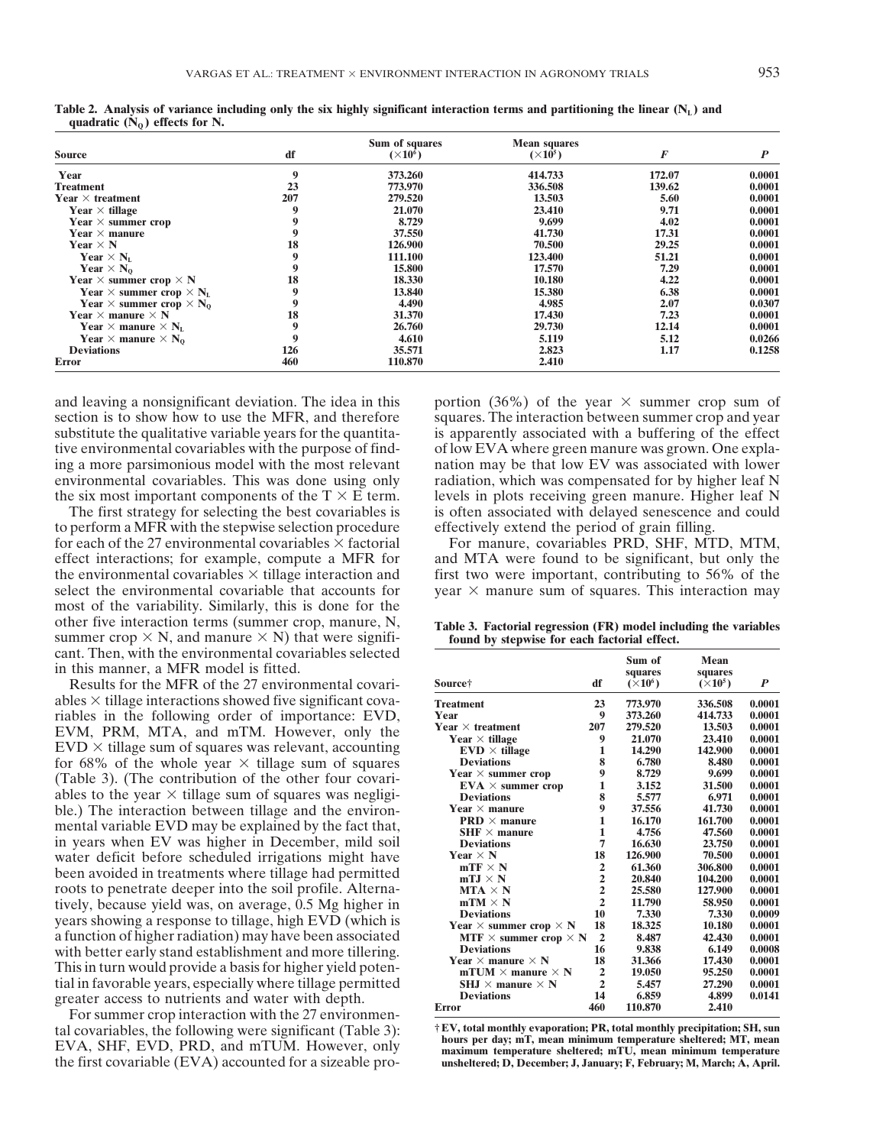|                                                   |     | Sum of squares  | <b>Mean squares</b> |        |        |
|---------------------------------------------------|-----|-----------------|---------------------|--------|--------|
| <b>Source</b>                                     | df  | $(\times 10^6)$ | $(\times 10^5)$     | F      | P      |
| Year                                              | 9   | 373.260         | 414.733             | 172.07 | 0.0001 |
| Treatment                                         | 23  | 773.970         | 336,508             | 139.62 | 0.0001 |
| Year $\times$ treatment                           | 207 | 279.520         | 13.503              | 5.60   | 0.0001 |
| Year $\times$ tillage                             | 9   | 21.070          | 23.410              | 9.71   | 0.0001 |
| Year $\times$ summer crop                         | 9   | 8.729           | 9.699               | 4.02   | 0.0001 |
| Year $\times$ manure                              | 9   | 37.550          | 41.730              | 17.31  | 0.0001 |
| Year $\times$ N                                   | 18  | 126.900         | 70.500              | 29.25  | 0.0001 |
| Year $\times N_L$                                 | 9   | 111.100         | 123.400             | 51.21  | 0.0001 |
| Year $\times N_0$                                 | 9   | 15.800          | 17.570              | 7.29   | 0.0001 |
| Year $\times$ summer crop $\times$ N              | 18  | 18.330          | 10.180              | 4.22   | 0.0001 |
| Year $\times$ summer crop $\times$ N <sub>L</sub> | 9   | 13.840          | 15.380              | 6.38   | 0.0001 |
| Year $\times$ summer crop $\times$ N <sub>0</sub> | 9   | 4.490           | 4.985               | 2.07   | 0.0307 |
| Year $\times$ manure $\times$ N                   | 18  | 31.370          | 17.430              | 7.23   | 0.0001 |
| Year $\times$ manure $\times$ N <sub>L</sub>      | 9   | 26,760          | 29.730              | 12.14  | 0.0001 |
| Year $\times$ manure $\times$ N <sub>0</sub>      | 9   | 4.610           | 5.119               | 5.12   | 0.0266 |
| <b>Deviations</b>                                 | 126 | 35,571          | 2.823               | 1.17   | 0.1258 |
| <b>Error</b>                                      | 460 | 110.870         | 2.410               |        |        |

Table 2. Analysis of variance including only the six highly significant interaction terms and partitioning the linear  $(N_L)$  and quadratic  $(N_0)$  effects for N.

and leaving a nonsignificant deviation. The idea in this portion  $(36%)$  of the year  $\times$  summer crop sum of section is to show how to use the MFR, and therefore squares. The interaction between summer crop and year substitute the qualitative variable years for the quantita- is apparently associated with a buffering of the effect tive environmental covariables with the purpose of find- of low EVA where green manure was grown. One explaing a more parsimonious model with the most relevant nation may be that low EV was associated with lower environmental covariables. This was done using only radiation, which was compensated for by higher leaf N the six most important components of the  $T \times E$  term. levels in plots receiving green manure. Higher leaf N

to perform a MFR with the stepwise selection procedure effectively extend the period of grain filling. for each of the 27 environmental covariables  $\times$  factorial For manure, covariables PRD, SHF, MTD, MTM, effect interactions; for example, compute a MFR for and MTA were found to be significant, but only the the environmental covariables  $\times$  tillage interaction and first two were important, contributing to 56% of the select the environmental covariable that accounts for year  $\times$  manure sum of squares. This interaction may most of the variability. Similarly, this is done for the other five interaction terms (summer crop, manure, N, **Table 3. Factorial regression (FR) model including the variables** summer crop  $\times$  N, and manure  $\times$  N) that were signifi- **found by stepwise for each factorial effect.** cant. Then, with the environmental covariables selected in this manner, a MFR model is fitted.

Results for the MFR of the 27 environmental covariables  $\times$  tillage interactions showed five significant covariables in the following order of importance: EVD, EVM, PRM, MTA, and mTM. However, only the EVD  $\times$  tillage sum of squares was relevant, accounting for 68% of the whole year  $\times$  tillage sum of squares (Table 3). (The contribution of the other four covariables to the year  $\times$  tillage sum of squares was negligible.) The interaction between tillage and the environ-**PROPATE:** mental variable EVD may be explained by the fact that, in years when EV was higher in December, mild soil water deficit before scheduled irrigations might have **been avoided in treatments where tillage had permitted** roots to penetrate deeper into the soil profile. Alternatively, because yield was, on average, 0.5 Mg higher in<br>years showing a response to tillage, high EVD (which is a function of higher radiation) may have been associated with better early stand establishment and more tillering. **This in turn would provide a basis for higher yield poten-** $\frac{1}{2}$  ial in favorable years, especially where tillage permitted

greater access to nutrients and water with depth.<br>
For summer crop interaction with the 27 environmen-<br>
tal covariables the following were significant (Table 3):<br>  $E = \frac{E}{E}$ , total monthly evaporation; PR, total monthly p tal covariables, the following were significant (Table 3):<br>EVA, SHF, EVD, PRD, and mTUM. However, only<br>the first covariable (EVA) accounted for a sizeable pro-<br>the first covariable (EVA) accounted for a sizeable pro-<br>mshel the first covariable (EVA) accounted for a sizeable pro-

The first strategy for selecting the best covariables is is often associated with delayed senescence and could

|                                      |                | Sum of<br>squares | Mean<br>squares |        |
|--------------------------------------|----------------|-------------------|-----------------|--------|
| Source†                              | df             | $(\times 10^6)$   | $(\times 10^5)$ | P      |
| Treatment                            | 23             | 773.970           | 336.508         | 0.0001 |
| Year                                 | 9              | 373.260           | 414.733         | 0.0001 |
| Year $\times$ treatment              | 207            | 279.520           | 13.503          | 0.0001 |
| Year $\times$ tillage                | 9              | 21.070            | 23.410          | 0.0001 |
| $EVD \times$ tillage                 | 1              | 14.290            | 142,900         | 0.0001 |
| <b>Deviations</b>                    | 8              | 6.780             | 8.480           | 0.0001 |
| Year $\times$ summer crop            | 9              | 8.729             | 9.699           | 0.0001 |
| $EVA \times$ summer crop             | 1              | 3.152             | 31.500          | 0.0001 |
| <b>Deviations</b>                    | 8              | 5.577             | 6.971           | 0.0001 |
| Year $\times$ manure                 | 9              | 37.556            | 41.730          | 0.0001 |
| <b>PRD</b> $\times$ manure           | 1              | 16.170            | 161.700         | 0.0001 |
| $SHF \times$ manure                  | 1              | 4.756             | 47.560          | 0.0001 |
| <b>Deviations</b>                    | 7              | 16.630            | 23.750          | 0.0001 |
| Year $\times N$                      | 18             | 126.900           | 70.500          | 0.0001 |
| $mTF \times N$                       | $\overline{2}$ | 61.360            | 306,800         | 0.0001 |
| mTJ $\times$ N                       | $\overline{2}$ | 20.840            | 104.200         | 0.0001 |
| $MTA \times N$                       | $\overline{2}$ | 25.580            | 127.900         | 0.0001 |
| $mTM \times N$                       | $\overline{2}$ | 11.790            | 58.950          | 0.0001 |
| <b>Deviations</b>                    | 10             | 7.330             | 7.330           | 0.0009 |
| Year $\times$ summer crop $\times$ N | 18             | 18.325            | 10.180          | 0.0001 |
| MTF $\times$ summer crop $\times$ N  | $\overline{2}$ | 8.487             | 42.430          | 0.0001 |
| <b>Deviations</b>                    | 16             | 9.838             | 6.149           | 0.0008 |
| Year $\times$ manure $\times$ N      | 18             | 31.366            | 17.430          | 0.0001 |
| mTUM $\times$ manure $\times$ N      | $\overline{2}$ | 19.050            | 95.250          | 0.0001 |
| SHJ $\times$ manure $\times$ N       | $\overline{2}$ | 5.457             | 27.290          | 0.0001 |
| <b>Deviations</b>                    | 14             | 6.859             | 4.899           | 0.0141 |
| Error                                | 460            | 110.870           | 2.410           |        |
|                                      |                |                   |                 |        |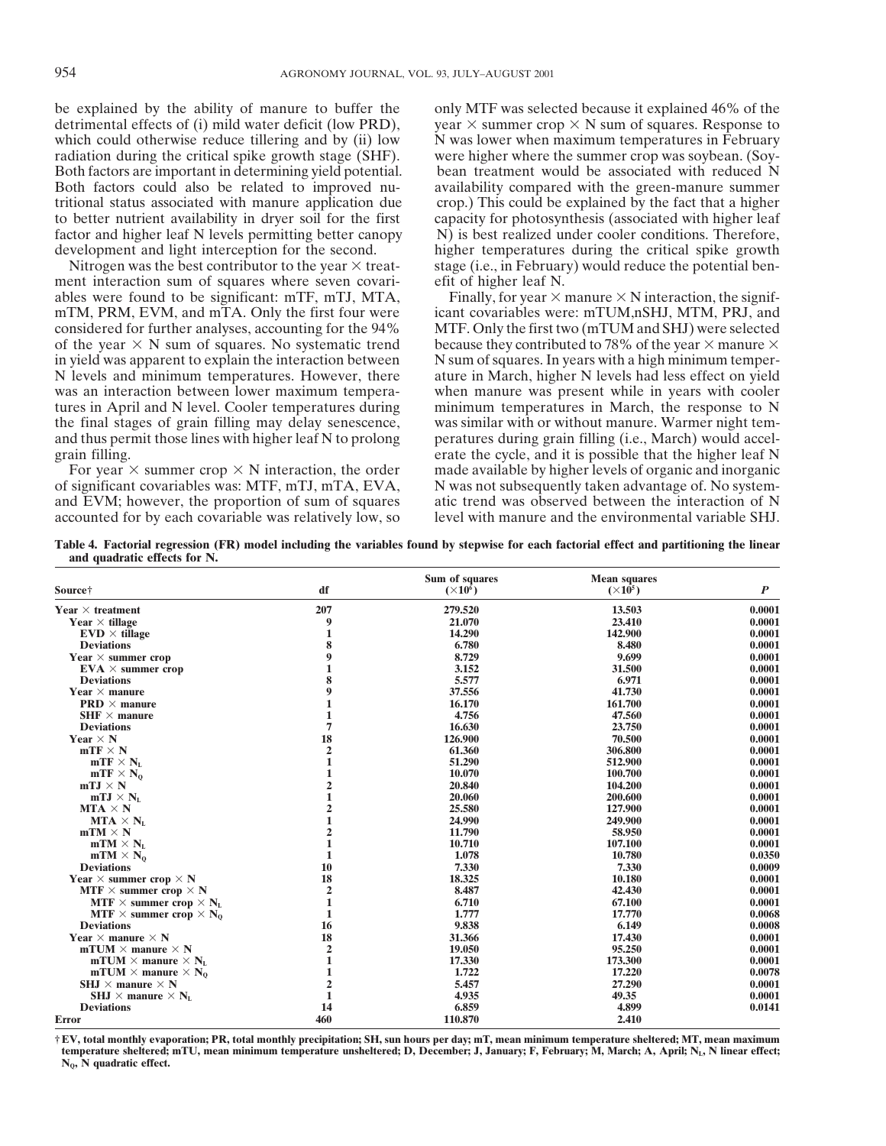be explained by the ability of manure to buffer the only MTF was selected because it explained 46% of the detrimental effects of (i) mild water deficit (low PRD), year  $\times$  summer crop  $\times$  N sum of squares. Response to which could otherwise reduce tillering and by (ii) low N was lower when maximum temperatures in February radiation during the critical spike growth stage (SHF). were higher where the summer crop was soybean. (Soy-Both factors are important in determining yield potential. bean treatment would be associated with reduced N Both factors could also be related to improved nu-<br>tritional status associated with manure application due<br>op.) This could be explained by the fact that a higher tritional status associated with manure application due to better nutrient availability in dryer soil for the first capacity for photosynthesis (associated with higher leaf factor and higher leaf N levels permitting better canopy N) is best realized under cooler conditions. The factor and higher leaf N levels permitting better canopy

ment interaction sum of squares where seven covari- efit of higher leaf N. ables were found to be significant: mTF, mTJ, MTA, Finally, for year  $\times$  manure  $\times$  N interaction, the signifmTM, PRM, EVM, and mTA. Only the first four were icant covariables were: mTUM,nSHJ, MTM, PRJ, and considered for further analyses, accounting for the 94% MTF. Only the first two (mTUM and SHJ) were selected of the year  $\times$  N sum of squares. No systematic trend because they contributed to 78% of the year  $\times$  manure  $\times$  in yield was apparent to explain the interaction between N sum of squares. In years with a high minimum t N levels and minimum temperatures. However, there ature in March, higher N levels had less effect on yield was an interaction between lower maximum tempera- when manure was present while in years with cooler tures in April and N level. Cooler temperatures during minimum temperatures in March, the response to N the final stages of grain filling may delay senescence, was similar with or without manure. Warmer night temand thus permit those lines with higher leaf N to prolong peratures during grain filling (i.e., March) would accelgrain filling. erate the cycle, and it is possible that the higher leaf N

of significant covariables was: MTF, mTJ, mTA, EVA, N was not subsequently taken advantage of. No system-<br>and EVM; however, the proportion of sum of squares atic trend was observed between the interaction of N accounted for by each covariable was relatively low, so level with manure and the environmental variable SHJ.

development and light interception for the second. higher temperatures during the critical spike growth Nitrogen was the best contributor to the year  $\times$  treat-stage (i.e., in February) would reduce the potential ben-

MTF. Only the first two (mTUM and SHJ) were selected N sum of squares. In years with a high minimum temper-For year  $\times$  summer crop  $\times$  N interaction, the order made available by higher levels of organic and inorganic atic trend was observed between the interaction of N

**Table 4. Factorial regression (FR) model including the variables found by stepwise for each factorial effect and partitioning the linear and quadratic effects for N.**

|                                                         |                | Sum of squares  | <b>Mean squares</b> |                  |
|---------------------------------------------------------|----------------|-----------------|---------------------|------------------|
| Source†                                                 | df             | $(\times 10^6)$ | $(\times 10^5)$     | $\boldsymbol{P}$ |
| Year $\times$ treatment                                 | 207            | 279.520         | 13.503              | 0.0001           |
| Year $\times$ tillage                                   | 9              | 21.070          | 23.410              | 0.0001           |
| $EVD \times$ tillage                                    | 1              | 14.290          | 142.900             | 0.0001           |
| <b>Deviations</b>                                       | 8              | 6.780           | 8.480               | 0.0001           |
| Year $\times$ summer crop                               | 9              | 8.729           | 9.699               | 0.0001           |
| $EVA \times$ summer crop                                | 1              | 3.152           | 31.500              | 0.0001           |
| <b>Deviations</b>                                       | 8              | 5.577           | 6.971               | 0.0001           |
| Year $\times$ manure                                    | 9              | 37.556          | 41.730              | 0.0001           |
| <b>PRD</b> $\times$ manure                              | 1              | 16.170          | 161.700             | 0.0001           |
| $SHF \times$ manure                                     | 1              | 4.756           | 47.560              | 0.0001           |
| <b>Deviations</b>                                       | $\overline{7}$ | 16.630          | 23.750              | 0.0001           |
| Year $\times$ N                                         | 18             | 126.900         | 70.500              | 0.0001           |
| $mTF \times N$                                          | $\overline{2}$ | 61.360          | 306.800             | 0.0001           |
| $mTF \times N_L$                                        | 1              | 51.290          | 512.900             | 0.0001           |
| $mTF \times N_0$                                        | 1              | 10.070          | 100.700             | 0.0001           |
| $mTJ \times N$                                          | $\overline{2}$ | 20.840          | 104.200             | 0.0001           |
| $mTJ \times N_{L}$                                      | 1              | 20.060          | 200.600             | 0.0001           |
| $MTA \times N$                                          | $\overline{2}$ | 25.580          | 127.900             | 0.0001           |
| $MTA \times NL$                                         | 1              | 24.990          | 249,900             | 0.0001           |
| $mTM \times N$                                          | $\overline{2}$ | 11.790          | 58,950              | 0.0001           |
| $mTM \times N_L$                                        | 1              | 10.710          | 107.100             | 0.0001           |
| $mTM \times N_0$                                        | 1              | 1.078           | 10.780              | 0.0350           |
| <b>Deviations</b>                                       | 10             | 7.330           | 7.330               | 0.0009           |
| Year $\times$ summer crop $\times$ N                    | 18             | 18.325          | 10.180              | 0.0001           |
| MTF $\times$ summer crop $\times$ N                     | $\overline{2}$ | 8.487           | 42.430              | 0.0001           |
| <b>MTF</b> $\times$ summer crop $\times$ N <sub>L</sub> | 1              | 6.710           | 67.100              | 0.0001           |
| <b>MTF</b> $\times$ summer crop $\times$ N <sub>0</sub> | 1              | 1,777           | 17.770              | 0.0068           |
| <b>Deviations</b>                                       | 16             | 9.838           | 6.149               | 0.0008           |
| Year $\times$ manure $\times$ N                         | 18             | 31.366          | 17.430              | 0.0001           |
| mTUM $\times$ manure $\times$ N                         | $\mathbf{2}$   | 19.050          | 95.250              | 0.0001           |
| mTUM $\times$ manure $\times N_L$                       | 1              | 17.330          | 173.300             | 0.0001           |
| mTUM $\times$ manure $\times N_0$                       | 1              | 1.722           | 17.220              | 0.0078           |
| SHJ $\times$ manure $\times$ N                          | $\overline{2}$ | 5.457           | 27.290              | 0.0001           |
| <b>SHJ</b> $\times$ manure $\times$ N <sub>L</sub>      | $\mathbf{1}$   | 4.935           | 49.35               | 0.0001           |
| <b>Deviations</b>                                       | 14             | 6.859           | 4.899               | 0.0141           |
| <b>Error</b>                                            | 460            | 110.870         | 2.410               |                  |

**† EV, total monthly evaporation; PR, total monthly precipitation; SH, sun hours per day; mT, mean minimum temperature sheltered; MT, mean maximum** temperature sheltered; mTU, mean minimum temperature unsheltered; D, December; J, January; F, February; M, March; A, April; N<sub>L</sub>, N linear effect; **NQ, N quadratic effect.**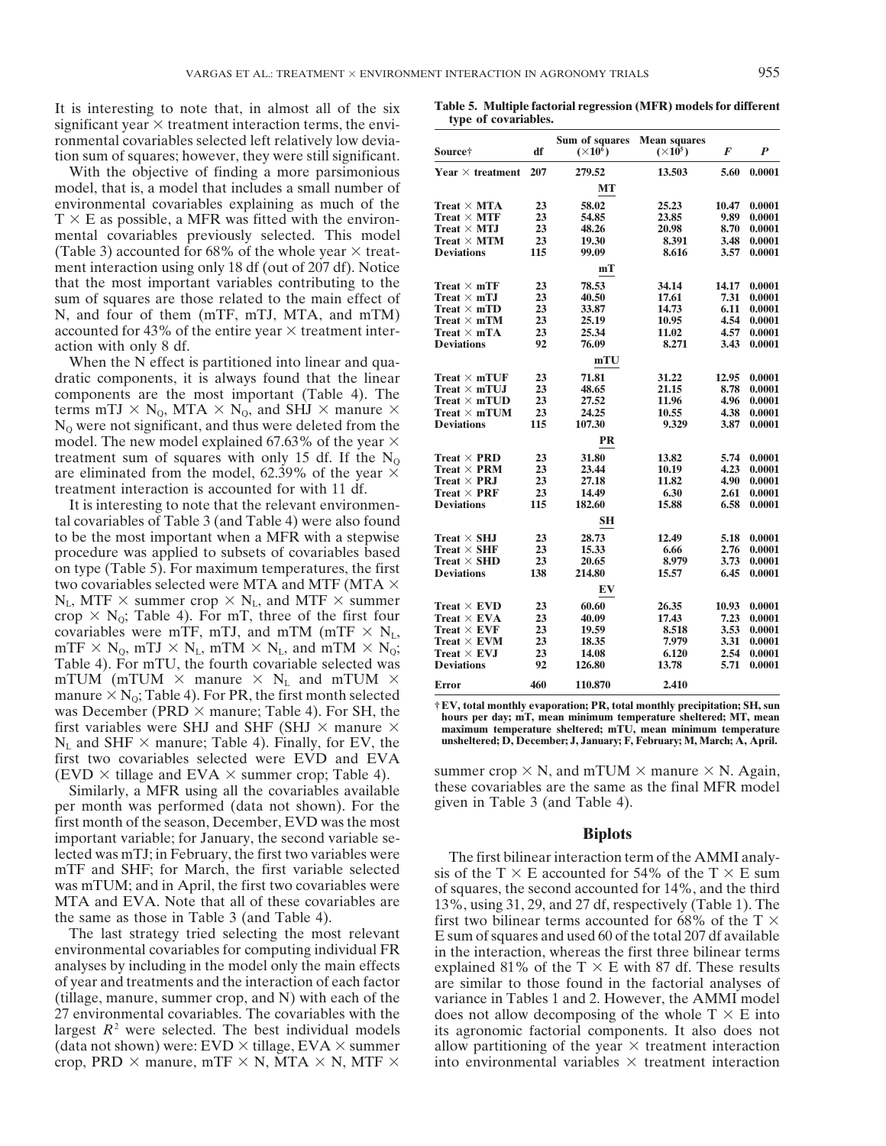significant year  $\times$  treatment interaction terms, the environmental covariables selected left relatively low deviafrom sum of squares; however, they were still significant.

With the objective of finding a more parsimonious model, that is, a model that includes a small number of environmental covariables explaining as much of the  $T \times E$  as possible, a MFR was fitted with the environ- $T$ mental covariables previously selected. This model (Table 3) accounted for  $68\%$  of the whole year  $\times$  treatment interaction using only 18 df (out of 207 df). Notice that the most important variables contributing to the sum of squares are those related to the main effect of **N**, and four of them (mTF, mTJ, MTA, and mTM) accounted for 43% of the entire year  $\times$  treatment interaction with only 8 df.

When the N effect is partitioned into linear and qua dratic components, it is always found that the linear components are the most important (Table 4). The terms mTJ  $\times$  N<sub>0</sub>, MTA  $\times$  N<sub>0</sub>, and SHJ  $\times$  manure  $\times$ N<sub>o</sub> were not significant, and thus were deleted from the model. The new model explained 67.63% of the year  $\times$ treatment sum of squares with only 15 df. If the  $N<sub>o</sub>$ are eliminated from the model, 62.39% of the year  $\times$  treatment interaction is accounted for with 11 df.

It is interesting to note that the relevant environmental covariables of Table 3 (and Table 4) were also found to be the most important when a MFR with a stepwise procedure was applied to subsets of covariables based<br>on type (Table 5). For maximum temperatures, the first two covariables selected were MTA and MTF (MTA  $\times$  $N_L$ , MTF  $\times$  summer crop  $\times N_L$ , and MTF  $\times$  summer crop  $\times$  N<sub>0</sub>; Table 4). For mT, three of the first four covariables were mTF, mTJ, and mTM (mTF  $\times$  N<sub>L</sub>, mTF  $\times$  N<sub>0</sub>, mTJ  $\times$  N<sub>L</sub>, mTM  $\times$  N<sub>L</sub>, and mTM  $\times$  N<sub>0</sub>; Table 4). For mTU, the fourth covariable selected was mTUM (mTUM  $\times$  manure  $\times$  N<sub>L</sub> and mTUM  $\times$ manure  $\times N_Q$ ; Table 4). For PR, the first month selected<br>was December (PRD  $\times$  manure; Table 4). For SH, the<br>first variables were SHJ and SHF (SHJ  $\times$  manure  $\times$ <br>hours per day; mT, mean minimum temperature sheltered; first variables were SHJ and SHF (SHJ  $\times$  manure  $\times$  **maximum temperature sheltered; mTU, mean minimum temperature**<br>N<sub>1</sub> and SHF  $\times$  manure: Table 4). Finally, for EV, the **unsheltered; D, December; J, January; F, Febru**  $N_L$  and SHF  $\times$  manure; Table 4). Finally, for EV, the first two covariables selected were EVD and EVA

Similarly, a MFR using all the covariables available these covariables are the same as the same as the final MFR using all the covariables available the final MFR month was performed (data not shown). For the given in Tab per month was performed (data not shown). For the first month of the season, December, EVD was the most<br>
important variable; for January, the second variable se-<br> **Biplots** lected was mTJ; in February, the first two variables were The first bilinear interaction term of the AMMI analy-<br>mTF and SHF; for March, the first variable selected sis of the T  $\times$  E accounted for 54% of the T  $\times$  E su

The last strategy tried selecting the most relevant E sum of squares and used 60 of the total 207 df available<br>environmental covariables for computing individual FR in the interaction, whereas the first three bilinear term environmental covariables for computing individual FR in the interaction, whereas the first three bilinear terms analyses by including in the model only the main effects explained 81% of the  $T \times E$  with 87 df. These resul analyses by including in the model only the main effects explained 81% of the  $T \times E$  with 87 df. These results of year and treatments and the interaction of each factor are similar to those found in the factorial analyses (tillage, manure, summer crop, and N) with each of the variance in Tables 1 and 2. However, the AMMI model 27 environmental covariables. The covariables with the does not allow decomposing of the whole  $T \times E$  into largest  $R^2$  were selected. The best individual models its agronomic factorial components. It also does not (data not shown) were:  $EVD \times$  tillage,  $EVA \times$  summer allow partitioning of the year  $\times$  treatment interaction crop, PRD  $\times$  manure, mTF  $\times$  N, MTA  $\times$  N, MTF  $\times$  into environmental variables  $\times$  treatment interaction

It is interesting to note that, in almost all of the six **Table 5. Multiple factorial regression (MFR) models for different**<br>significant year  $\times$  treatment interaction terms the envi-<br>**type of covariables.** 

|                                      |     | Sum of squares  | <b>Mean squares</b> |       |        |
|--------------------------------------|-----|-----------------|---------------------|-------|--------|
| Source†                              | df  | $(\times 10^6)$ | $(\times 10^5)$     | F     | P      |
| Year $\times$ treatment              | 207 | 279.52          | 13.503              | 5.60  | 0.0001 |
|                                      |     | MТ              |                     |       |        |
| $Treat \times MTA$                   | 23  | 58.02           | 25.23               | 10.47 | 0.0001 |
| $Treat \times MTF$                   | 23  | 54.85           | 23.85               | 9.89  | 0.0001 |
| $Treat \times MTJ$                   | 23  | 48.26           | 20.98               | 8.70  | 0.0001 |
| $Treat \times MTM$                   | 23  | 19.30           | 8.391               | 3.48  | 0.0001 |
| <b>Deviations</b>                    | 115 | 99.09           | 8.616               | 3.57  | 0.0001 |
|                                      |     | mТ              |                     |       |        |
| Treat $\times$ mTF                   | 23  | 78.53           | 34.14               | 14.17 | 0.0001 |
| Treat $\times$ mTJ                   | 23  | 40.50           | 17.61               | 7.31  | 0.0001 |
| Treat $\times$ mTD                   | 23  | 33.87           | 14.73               | 6.11  | 0.0001 |
| Treat $\times$ mTM                   | 23  | 25.19           | 10.95               | 4.54  | 0.0001 |
| Treat $\times$ mTA                   | 23  | 25.34           | 11.02               | 4.57  | 0.0001 |
| <b>Deviations</b>                    | 92  | 76.09           | 8.271               | 3.43  | 0.0001 |
|                                      |     | mTU             |                     |       |        |
| Treat $\times$ mTUF                  | 23  | 71.81           | 31.22               | 12.95 | 0.0001 |
| Treat $\times$ mTUJ                  | 23  | 48.65           | 21.15               | 8.78  | 0.0001 |
| Treat $\times$ mTUD                  | 23  | 27.52           | 11.96               | 4.96  | 0.0001 |
| Treat $\times$ mTUM                  | 23  | 24.25           | 10.55               | 4.38  | 0.0001 |
| <b>Deviations</b>                    | 115 | 107.30          | 9.329               | 3.87  | 0.0001 |
|                                      |     | PR              |                     |       |        |
| <b>Treat <math>\times</math> PRD</b> | 23  | 31.80           | 13.82               | 5.74  | 0.0001 |
| $Treat \times PRM$                   | 23  | 23.44           | 10.19               | 4.23  | 0.0001 |
| <b>Treat</b> $\times$ <b>PRJ</b>     | 23  | 27.18           | 11.82               | 4.90  | 0.0001 |
| Treat $\times$ PRF                   | 23  | 14.49           | 6.30                | 2.61  | 0.0001 |
| <b>Deviations</b>                    | 115 | 182.60          | 15.88               | 6.58  | 0.0001 |
|                                      |     | SН              |                     |       |        |
| Treat $\times$ SHJ                   | 23  | 28.73           | 12.49               | 5.18  | 0.0001 |
| Treat $\times$ SHF                   | 23  | 15.33           | 6.66                | 2.76  | 0.0001 |
| <b>Treat <math>\times</math> SHD</b> | 23  | 20.65           | 8.979               | 3.73  | 0.0001 |
| <b>Deviations</b>                    | 138 | <b>214.80</b>   | 15.57               | 6.45  | 0.0001 |
|                                      |     | EV              |                     |       |        |
| <b>Treat <math>\times</math> EVD</b> | 23  | 60.60           | 26.35               | 10.93 | 0.0001 |
| <b>Treat</b> $\times$ EVA            | 23  | 40.09           | 17.43               | 7.23  | 0.0001 |
| <b>Treat</b> $\times$ <b>EVF</b>     | 23  | 19.59           | 8.518               | 3.53  | 0.0001 |
| <b>Treat</b> $\times$ <b>EVM</b>     | 23  | 18.35           | 7.979               | 3.31  | 0.0001 |
| <b>Treat</b> $\times$ <b>EVJ</b>     | 23  | 14.08           | 6.120               | 2.54  | 0.0001 |
| <b>Deviations</b>                    | 92  | 126.80          | 13.78               | 5.71  | 0.0001 |
| <b>Error</b>                         | 460 | 110.870         | 2.410               |       |        |

 $\text{Simplify}$  a MFR using all the covariables available<br>Similarly a MFR using all the covariables available<br>these covariables are the same as the final MFR model

was mTUM; and in April, the first two covariables were<br>MTA and EVA. Note that all of these covariables are<br>the same as those in Table 3 (and Table 4).<br>The last strategy tried selecting the most relevant<br>E sum of squares a are similar to those found in the factorial analyses of its agronomic factorial components. It also does not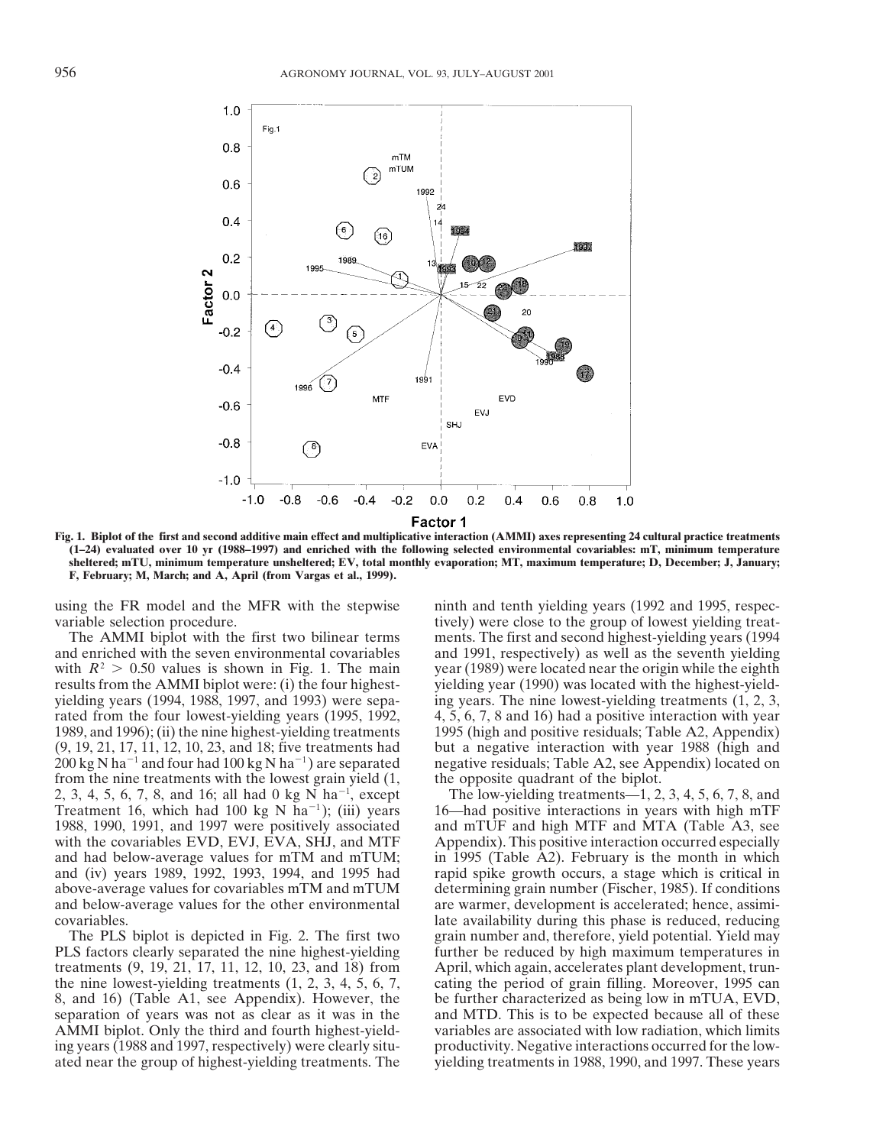

**Fig. 1. Biplot of the first and second additive main effect and multiplicative interaction (AMMI) axes representing 24 cultural practice treatments (1–24) evaluated over 10 yr (1988–1997) and enriched with the following selected environmental covariables: mT, minimum temperature sheltered; mTU, minimum temperature unsheltered; EV, total monthly evaporation; MT, maximum temperature; D, December; J, January; F, February; M, March; and A, April (from Vargas et al., 1999).**

variable selection procedure. tively) were close to the group of lowest yielding treat-

with  $R^2 > 0.50$  values is shown in Fig. 1. The main year (1989) were located near the origin while the eighth results from the AMMI biplot were: (i) the four highest-<br>yielding year (1990) was located with the highest-yie results from the AMMI biplot were: (i) the four highestyielding years (1994, 1988, 1997, and 1993) were sepa- ing years. The nine lowest-yielding treatments (1, 2, 3, rated from the four lowest-yielding years (1995, 1992, 4, 5, 6, 7, 8 and 16) had a positive interaction with year 1989, and 1996); (ii) the nine highest-yielding treatments 1995 (high and positive residuals; Table A2, Appendix)  $(9, 19, 21, 17, 11, 12, 10, 23,$  and 18; five treatments had but a negative interaction with year 1988 (high and 200 kg N ha<sup>-1</sup> and four had 100 kg N ha<sup>-1</sup>) are separated negative residuals; Table A2, see Appendix) located on from the nine treatments with the lowest grain yield  $(1,$  the opposite quadrant of the biplot. from the nine treatments with the lowest grain yield  $(1,$ 2, 3, 4, 5, 6, 7, 8, and 16; all had 0 kg N ha<sup>-1</sup>, except Treatment 16, which had 100 kg N ha<sup>-1</sup>); (iii) years 16—had positive interactions in years with high mTF 1988, 1990, 1991, and 1997 were positively associated and mTUF and high MTF and MTA (Table A3, see with the covariables EVD, EVJ, EVA, SHJ, and MTF Appendix). This positive interaction occurred especially and had below-average values for mTM and mTUM; in 1995 (Table A2). February is the month in which and (iv) years 1989, 1992, 1993, 1994, and 1995 had rapid spike growth occurs, a stage which is critical in above-average values for covariables mTM and mTUM determining grain number (Fischer, 1985). If conditions and below-average values for the other environmental are warmer, development is accelerated; hence, assimi-

PLS factors clearly separated the nine highest-yielding further be reduced by high maximum temperatures in treatments (9, 19, 21, 17, 11, 12, 10, 23, and 18) from April, which again, accelerates plant development, trunthe nine lowest-yielding treatments (1, 2, 3, 4, 5, 6, 7, cating the period of grain filling. Moreover, 1995 can 8, and 16) (Table A1, see Appendix). However, the be further characterized as being low in mTUA, EVD, separation of years was not as clear as it was in the and MTD. This is to be expected because all of these AMMI biplot. Only the third and fourth highest-yield- variables are associated with low radiation, which limits ing years (1988 and 1997, respectively) were clearly situ- productivity. Negative interactions occurred for the lowated near the group of highest-yielding treatments. The yielding treatments in 1988, 1990, and 1997. These years

using the FR model and the MFR with the stepwise ninth and tenth yielding years (1992 and 1995, respec-The AMMI biplot with the first two bilinear terms ments. The first and second highest-yielding years (1994 and enriched with the seven environmental covariables and 1991, respectively) as well as the seventh yielding and 1991, respectively) as well as the seventh yielding

The low-yielding treatments—1, 2, 3, 4, 5, 6, 7, 8, and covariables. late availability during this phase is reduced, reducing The PLS biplot is depicted in Fig. 2. The first two grain number and, therefore, yield potential. Yield may April, which again, accelerates plant development, trun-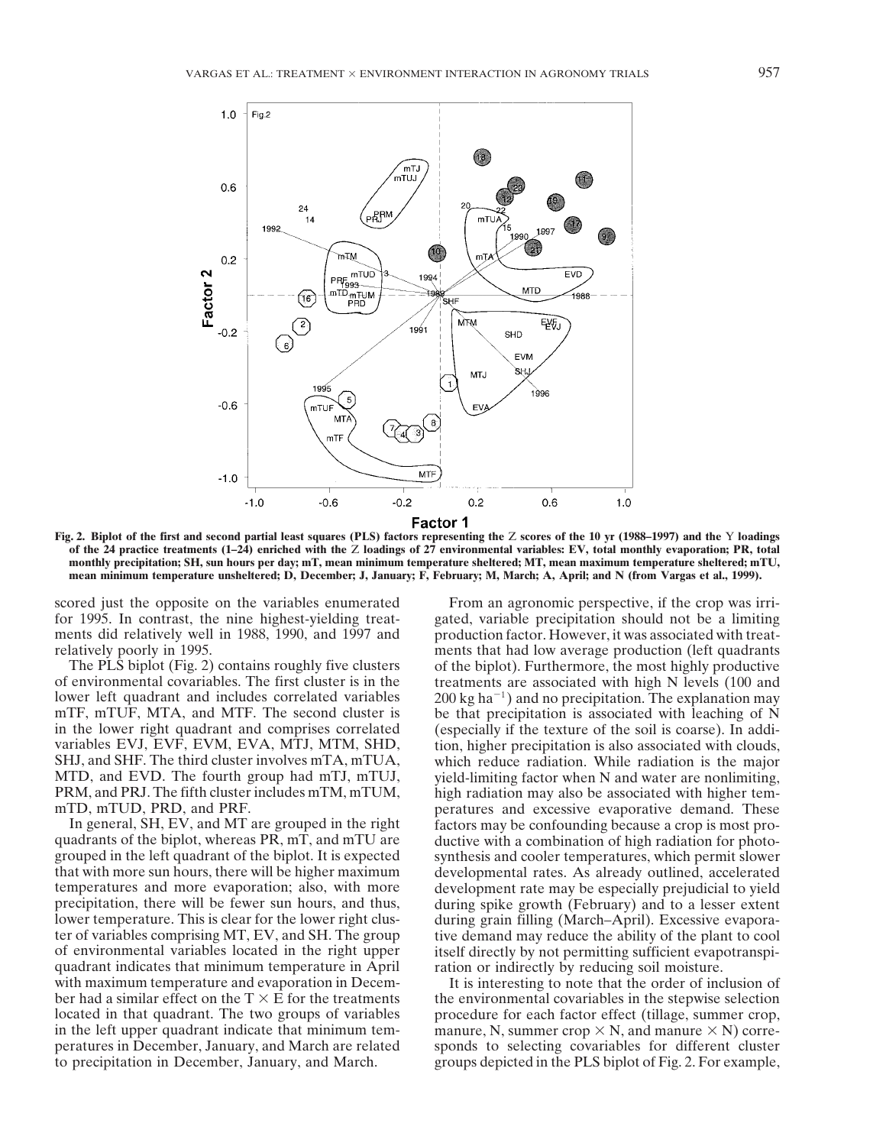

**Fig. 2. Biplot of the first and second partial least squares (PLS) factors representing the** Z **scores of the 10 yr (1988–1997) and the** Y **loadings of the 24 practice treatments (1–24) enriched with the** Z **loadings of 27 environmental variables: EV, total monthly evaporation; PR, total monthly precipitation; SH, sun hours per day; mT, mean minimum temperature sheltered; MT, mean maximum temperature sheltered; mTU, mean minimum temperature unsheltered; D, December; J, January; F, February; M, March; A, April; and N (from Vargas et al., 1999).**

that with more sun hours, there will be higher maximum developmental rates. As already outlined, accelerated temperatures and more evaporation; also, with more development rate may be especially prejudicial to yield precipitation, there will be fewer sun hours, and thus, during spike growth (February) and to a lesser extent lower temperature. This is clear for the lower right clus- during grain filling (March–April). Excessive evaporater of variables comprising MT, EV, and SH. The group tive demand may reduce the ability of the plant to cool<br>of environmental variables located in the right upper itself directly by not permitting sufficient evapotranspiquadrant indicates that minimum temperature in April ration or indirectly by reducing soil moisture. with maximum temperature and evaporation in Decem-<br>It is interesting to note that the order of inclusion of

scored just the opposite on the variables enumerated From an agronomic perspective, if the crop was irri-<br>for 1995. In contrast, the nine highest-yielding treat-<br>gated, variable precipitation should not be a limiting for 1995. In contrast, the nine highest-yielding treat-<br>ments did relatively well in 1988, 1990, and 1997 and production factor. However, it was associated with treatproduction factor. However, it was associated with treatrelatively poorly in 1995.<br>The PLS biplot (Fig. 2) contains roughly five clusters of the biplot). Furthermore, the most highly productive of the biplot). Furthermore, the most highly productive of environmental covariables. The first cluster is in the treatments are associated with high N levels (100 and lower left quadrant and includes correlated variables  $200 \text{ kg ha}^{-1}$  and no precipitation. The explanation may mTF, mTUF, MTA, and MTF. The second cluster is be that precipitation is associated with leaching of N be that precipitation is associated with leaching of N in the lower right quadrant and comprises correlated (especially if the texture of the soil is coarse). In addi-<br>variables EVJ, EVF, EVM, EVA, MTJ, MTM, SHD, tion, higher precipitation is also associated with clouds, tion, higher precipitation is also associated with clouds, SHJ, and SHF. The third cluster involves mTA, mTUA, which reduce radiation. While radiation is the major MTD, and EVD. The fourth group had mTJ, mTUJ, yield-limiting factor when N and water are nonlimiting, PRM, and PRJ. The fifth cluster includes mTM, mTUM, high radiation may also be associated with higher temhigh radiation may also be associated with higher temmTD, mTUD, PRD, and PRF. peratures and excessive evaporative demand. These In general, SH, EV, and MT are grouped in the right factors may be confounding because a crop is most pro-<br>quadrants of the biplot, whereas PR, mT, and mTU are ductive with a combination of high radiation for photoductive with a combination of high radiation for photogrouped in the left quadrant of the biplot. It is expected synthesis and cooler temperatures, which permit slower itself directly by not permitting sufficient evapotranspi-

ber had a similar effect on the  $T \times E$  for the treatments the environmental covariables in the stepwise selection located in that quadrant. The two groups of variables procedure for each factor effect (tillage, summer crop, in the left upper quadrant indicate that minimum tem- manure, N, summer crop  $\times$  N, and manure  $\times$  N) correperatures in December, January, and March are related sponds to selecting covariables for different cluster to precipitation in December, January, and March. groups depicted in the PLS biplot of Fig. 2. For example,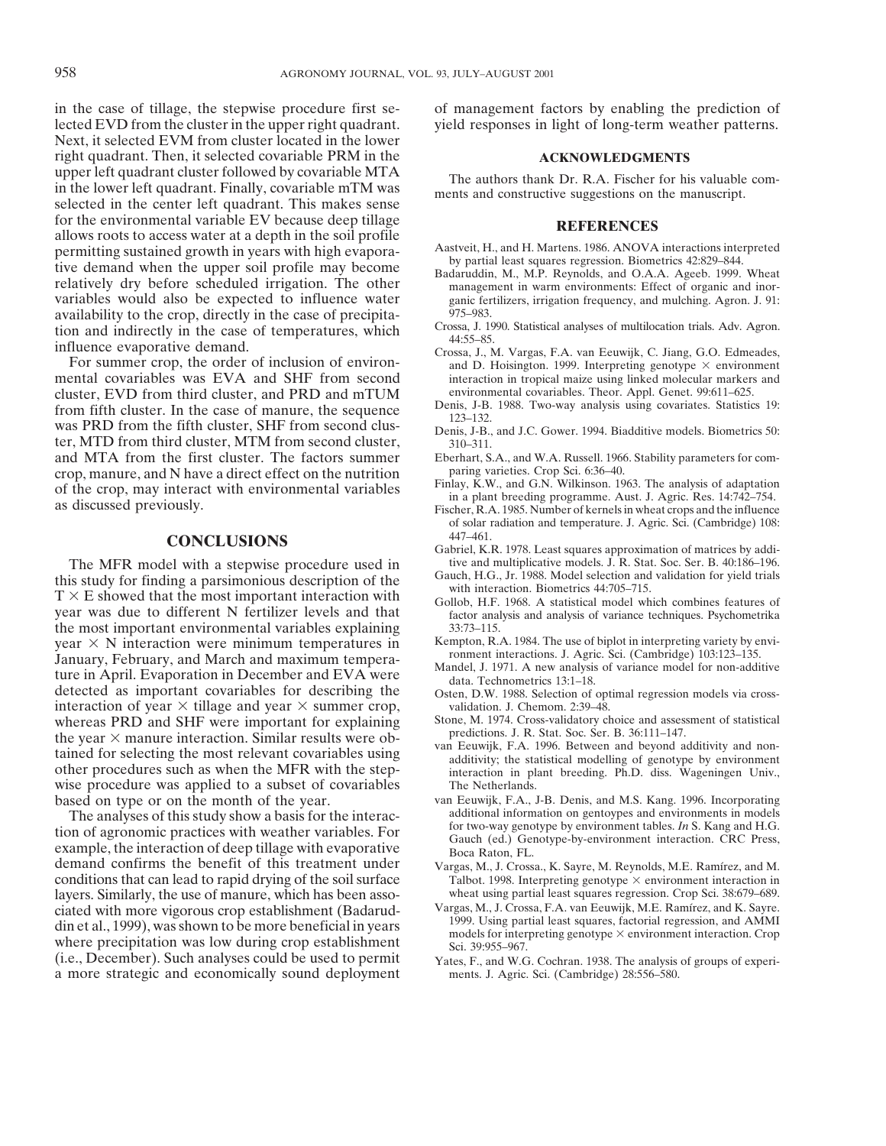in the case of tillage, the stepwise procedure first se- of management factors by enabling the prediction of lected EVD from the cluster in the upper right quadrant. yield responses in light of long-term weather patterns. Next, it selected EVM from cluster located in the lower right quadrant. Then, it selected covariable PRM in the **ACKNOWLEDGMENTS**<br>upper left quadrant cluster followed by covariable MTA The surface that Dr. B.A. Fischer for his the authors thank Dr. R.A. Fischer for his valuable com-<br>in the lower left quadrant. Finally, covariable mTM was<br>selected in the center left quadrant. This makes sense For the environmental variable EV because deep tillage<br>
allows roots to access water at a depth in the soil profile<br>
permitting sustained growth in years with high evapora-<br>
tive demand when the upper soil profile may beco availability to the crop, directly in the case of precipita-<br>
ion and indirectly in the case of temperatures, which Crossa, J. 1990. Statistical analyses of multilocation trials. Adv. Agron.

cluster, EVD from third cluster, and PRD and mTUM environmental covariables. Theor. Appl. Genet. 99:611–625.<br>
From fifth cluster. In the case of manure, the sequence Denis, J-B. 1988. Two-way analysis using covariates. Sta From fifth cluster. In the case of manure, the sequence<br>was PRD from the fifth cluster, SHF from second clus-<br>ter, MTD from third cluster, MTM from second cluster,<br>310-311.<br>310-311. and MTA from the first cluster. The factors summer<br>crop. manure, and N have a direct effect on the nutrition paring varieties. Crop Sci. 6:36–40. crop, manure, and N have a direct effect on the nutrition<br>of the crop, may interact with environmental variables<br>as discussed previously.<br>as discussed previously.<br>as discussed previously.<br>Fischer, R.A. 1985. Number of kern

The MFR model with a stepwise procedure used in tive and multiplicative models. J. R. Stat. Soc. Ser. B. 40:186–196.<br>Gauch, H.G., Jr. 1988. Model selection and validation for yield trials this study for finding a parsimonious description of the<br>
T  $\times$  E showed that the most important interaction with<br>
year was due to different N fertilizer levels and that<br>
the most important environmental variables explai the most important environmental variables explaining  $33:73-115$ .<br>
vear  $\times$  N interaction were minimum temperatures in Kempton, R.A. 1984. The use of biplot in interpreting variety by enviyear  $\times$  N interaction were minimum temperatures in Kempton, R.A. 1984. The use of biplot in interpreting variety by environment interactions. J. Agric. Sci. (Cambridge) 103:123–135. January, February, and March and maximum tempera-<br>ture in April. Evaporation in December and EVA were<br>data. Technometrics 13:1–18 detected as important covariables for describing the Osten, D.W. 1988. Selection of optimal regression models via cross-<br>interaction of year  $\times$  tillage and year  $\times$  summer crop, validation. J. Chemom. 2:39–48. interaction of year  $\times$  tillage and year  $\times$  summer crop, validation. J. Chemom. 2:39–48.<br>whereas PRD and SHF were important for explaining Stone, M. 1974. Cross-validatory choice and assessment of statistical whereas PRD and SHF were important for explaining Stone, M. 1974. Cross-validatory choice and assessment of explaining the year  $\times$  manure interaction. Similar results were obthe year  $\land$  manufe interaction. Similar results were our van Eeuwijk, F.A. 1996. Between and beyond additivity and non-<br>tained for selecting the most relevant covariables using<br>other procedures such as when the MFR with wise procedure was applied to a subset of covariables The Netherlands

tion of agronomic practices with weather variables. For<br>example, the interaction of deep tillage with evaporative<br>demand confirms the benefit of this treatment under<br> $V_{\text{ar}}$  and  $V_{\text{ar}}$  or  $V_{\text{ar}}$  and  $V_{\text{ar}}$ . K Sa conditions that can lead to rapid drying of the soil surface layers. Similarly, the use of manure, which has been asso-<br>
ciated with more vigorous crop establishment (Badarud-Vargas, M., J. Crossa, F.A. van Eeuwijk, M.E. Ramírez, and K. Sayre. ciated with more vigorous crop establishment (Badarud-<br>din et al., 1999), was shown to be more beneficial in years<br>where precipitation was low during crop establishment<br>(i.e., December). Such analyses could be used to per a more strategic and economically sound deployment ments. J. Agric. Sci. (Cambridge) 28:556–580.

- 
- ganic fertilizers, irrigation frequency, and mulching. Agron. J. 91: 975–983.
- 
- tion and indirectly in the case of temperatures, which<br>influence evaporative demand.<br>For summer crop, the order of inclusion of environ-<br>mental covariables was EVA and SHF from second<br>interaction in tropical maize using li interaction in tropical maize using linked molecular markers and environmental covariables. Theor. Appl. Genet. 99:611-625.
	-
	-
	-
	-
	- of solar radiation and temperature. J. Agric. Sci. (Cambridge) 108:
	- **CONCLUSIONS**<br>
	Gabriel, K.R. 1978. Least squares approximation of matrices by addi-<br>
	lel with a stenwise procedure used in tive and multiplicative models. J. R. Stat. Soc. Ser. B. 40:186–196.
		-
		-
		-
		-
		-
		-
		-
- based on type or on the month of the year. van Eeuwijk, F.A., J-B. Denis, and M.S. Kang. 1996. Incorporating<br>The analyses of this study show a basis for the interace additional information on gentoypes and environments in The analyses of this study show a basis for the interac-<br>The analyses and environments in models<br>or two-way genotype by environment tables. In S. Kang and H.G.
	- Vargas, M., J. Crossa., K. Sayre, M. Reynolds, M.E. Ramírez, and M. Talbot. 1998. Interpreting genotype  $\times$  environment interaction in
	-
	- Yates, F., and W.G. Cochran. 1938. The analysis of groups of experi-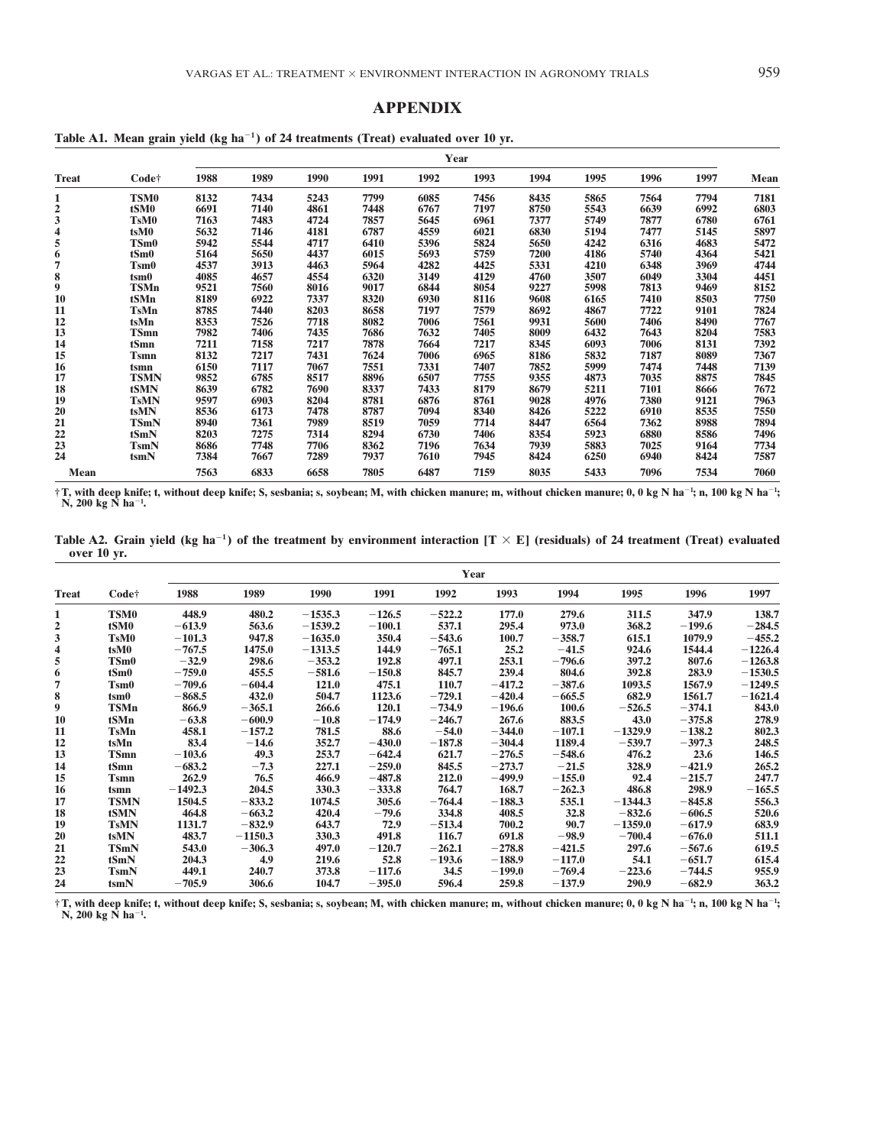### **APPENDIX**

|              | Year        |      |      |      |      |      |      |      |      |      |      |      |
|--------------|-------------|------|------|------|------|------|------|------|------|------|------|------|
| <b>Treat</b> | Code†       | 1988 | 1989 | 1990 | 1991 | 1992 | 1993 | 1994 | 1995 | 1996 | 1997 | Mean |
| 1            | <b>TSM0</b> | 8132 | 7434 | 5243 | 7799 | 6085 | 7456 | 8435 | 5865 | 7564 | 7794 | 7181 |
| 2            | tSM0        | 6691 | 7140 | 4861 | 7448 | 6767 | 7197 | 8750 | 5543 | 6639 | 6992 | 6803 |
| 3            | <b>TsM0</b> | 7163 | 7483 | 4724 | 7857 | 5645 | 6961 | 7377 | 5749 | 7877 | 6780 | 6761 |
| 4            | tsM0        | 5632 | 7146 | 4181 | 6787 | 4559 | 6021 | 6830 | 5194 | 7477 | 5145 | 5897 |
| 5            | TSm0        | 5942 | 5544 | 4717 | 6410 | 5396 | 5824 | 5650 | 4242 | 6316 | 4683 | 5472 |
| 6            | tSm0        | 5164 | 5650 | 4437 | 6015 | 5693 | 5759 | 7200 | 4186 | 5740 | 4364 | 5421 |
| 7            | <b>Tsm0</b> | 4537 | 3913 | 4463 | 5964 | 4282 | 4425 | 5331 | 4210 | 6348 | 3969 | 4744 |
| 8            | $t$ sm $0$  | 4085 | 4657 | 4554 | 6320 | 3149 | 4129 | 4760 | 3507 | 6049 | 3304 | 4451 |
| 9            | <b>TSMn</b> | 9521 | 7560 | 8016 | 9017 | 6844 | 8054 | 9227 | 5998 | 7813 | 9469 | 8152 |
| 10           | tSMn        | 8189 | 6922 | 7337 | 8320 | 6930 | 8116 | 9608 | 6165 | 7410 | 8503 | 7750 |
| 11           | <b>TsMn</b> | 8785 | 7440 | 8203 | 8658 | 7197 | 7579 | 8692 | 4867 | 7722 | 9101 | 7824 |
| 12           | tsMn        | 8353 | 7526 | 7718 | 8082 | 7006 | 7561 | 9931 | 5600 | 7406 | 8490 | 7767 |
| 13           | <b>TSmn</b> | 7982 | 7406 | 7435 | 7686 | 7632 | 7405 | 8009 | 6432 | 7643 | 8204 | 7583 |
| 14           | tSmn        | 7211 | 7158 | 7217 | 7878 | 7664 | 7217 | 8345 | 6093 | 7006 | 8131 | 7392 |
| 15           | <b>Tsmn</b> | 8132 | 7217 | 7431 | 7624 | 7006 | 6965 | 8186 | 5832 | 7187 | 8089 | 7367 |
| 16           | tsmn        | 6150 | 7117 | 7067 | 7551 | 7331 | 7407 | 7852 | 5999 | 7474 | 7448 | 7139 |
| 17           | <b>TSMN</b> | 9852 | 6785 | 8517 | 8896 | 6507 | 7755 | 9355 | 4873 | 7035 | 8875 | 7845 |
| 18           | <b>tSMN</b> | 8639 | 6782 | 7690 | 8337 | 7433 | 8179 | 8679 | 5211 | 7101 | 8666 | 7672 |
| 19           | <b>TsMN</b> | 9597 | 6903 | 8204 | 8781 | 6876 | 8761 | 9028 | 4976 | 7380 | 9121 | 7963 |
| 20           | tsMN        | 8536 | 6173 | 7478 | 8787 | 7094 | 8340 | 8426 | 5222 | 6910 | 8535 | 7550 |
| 21           | <b>TSmN</b> | 8940 | 7361 | 7989 | 8519 | 7059 | 7714 | 8447 | 6564 | 7362 | 8988 | 7894 |
| 22           | tSmN        | 8203 | 7275 | 7314 | 8294 | 6730 | 7406 | 8354 | 5923 | 6880 | 8586 | 7496 |
| 23           | <b>TsmN</b> | 8686 | 7748 | 7706 | 8362 | 7196 | 7634 | 7939 | 5883 | 7025 | 9164 | 7734 |
| 24           | tsmN        | 7384 | 7667 | 7289 | 7937 | 7610 | 7945 | 8424 | 6250 | 6940 | 8424 | 7587 |
| Mean         |             | 7563 | 6833 | 6658 | 7805 | 6487 | 7159 | 8035 | 5433 | 7096 | 7534 | 7060 |

†T, with deep knife; t, without deep knife; S, sesbania; s, soybean; M, with chicken manure; m, without chicken manure; 0, 0 kg N ha<sup>-1</sup>; n, 100 kg N ha<sup>-1</sup>;<br>N, 200 kg N ha<sup>-1</sup>.

Table A2. Grain yield (kg ha<sup>-1</sup>) of the treatment by environment interaction  $[T \times E]$  (residuals) of 24 treatment (Treat) evaluated **over 10 yr.**

|              |             | Year      |           |           |          |          |          |          |           |          |           |
|--------------|-------------|-----------|-----------|-----------|----------|----------|----------|----------|-----------|----------|-----------|
| <b>Treat</b> | Code†       | 1988      | 1989      | 1990      | 1991     | 1992     | 1993     | 1994     | 1995      | 1996     | 1997      |
| 1            | <b>TSM0</b> | 448.9     | 480.2     | $-1535.3$ | $-126.5$ | $-522.2$ | 177.0    | 279.6    | 311.5     | 347.9    | 138.7     |
| 2            | tSM0        | $-613.9$  | 563.6     | $-1539.2$ | $-100.1$ | 537.1    | 295.4    | 973.0    | 368.2     | $-199.6$ | $-284.5$  |
| 3            | <b>TsM0</b> | $-101.3$  | 947.8     | $-1635.0$ | 350.4    | $-543.6$ | 100.7    | $-358.7$ | 615.1     | 1079.9   | $-455.2$  |
| 4            | tsM0        | $-767.5$  | 1475.0    | $-1313.5$ | 144.9    | $-765.1$ | 25.2     | $-41.5$  | 924.6     | 1544.4   | $-1226.4$ |
| 5            | TSm0        | $-32.9$   | 298.6     | $-353.2$  | 192.8    | 497.1    | 253.1    | $-796.6$ | 397.2     | 807.6    | $-1263.8$ |
| 6            | tSm0        | $-759.0$  | 455.5     | $-581.6$  | $-150.8$ | 845.7    | 239.4    | 804.6    | 392.8     | 283.9    | $-1530.5$ |
| 7            | <b>Tsm0</b> | $-709.6$  | $-604.4$  | 121.0     | 475.1    | 110.7    | $-417.2$ | $-387.6$ | 1093.5    | 1567.9   | $-1249.5$ |
| 8            | tsm0        | $-868.5$  | 432.0     | 504.7     | 1123.6   | $-729.1$ | $-420.4$ | $-665.5$ | 682.9     | 1561.7   | $-1621.4$ |
| 9            | <b>TSMn</b> | 866.9     | $-365.1$  | 266.6     | 120.1    | $-734.9$ | $-196.6$ | 100.6    | $-526.5$  | $-374.1$ | 843.0     |
| 10           | tSMn        | $-63.8$   | $-600.9$  | $-10.8$   | $-174.9$ | $-246.7$ | 267.6    | 883.5    | 43.0      | $-375.8$ | 278.9     |
| 11           | <b>TsMn</b> | 458.1     | $-157.2$  | 781.5     | 88.6     | $-54.0$  | $-344.0$ | $-107.1$ | $-1329.9$ | $-138.2$ | 802.3     |
| 12           | tsMn        | 83.4      | $-14.6$   | 352.7     | $-430.0$ | $-187.8$ | $-304.4$ | 1189.4   | $-539.7$  | $-397.3$ | 248.5     |
| 13           | <b>TSmn</b> | $-103.6$  | 49.3      | 253.7     | $-642.4$ | 621.7    | $-276.5$ | $-548.6$ | 476.2     | 23.6     | 146.5     |
| 14           | tSmn        | $-683.2$  | $-7.3$    | 227.1     | $-259.0$ | 845.5    | $-273.7$ | $-21.5$  | 328.9     | $-421.9$ | 265.2     |
| 15           | <b>Tsmn</b> | 262.9     | 76.5      | 466.9     | $-487.8$ | 212.0    | $-499.9$ | $-155.0$ | 92.4      | $-215.7$ | 247.7     |
| 16           | tsmn        | $-1492.3$ | 204.5     | 330.3     | $-333.8$ | 764.7    | 168.7    | $-262.3$ | 486.8     | 298.9    | $-165.5$  |
| 17           | <b>TSMN</b> | 1504.5    | $-833.2$  | 1074.5    | 305.6    | $-764.4$ | $-188.3$ | 535.1    | $-1344.3$ | $-845.8$ | 556.3     |
| 18           | tSMN        | 464.8     | $-663.2$  | 420.4     | $-79.6$  | 334.8    | 408.5    | 32.8     | $-832.6$  | $-606.5$ | 520.6     |
| 19           | <b>TsMN</b> | 1131.7    | $-832.9$  | 643.7     | 72.9     | $-513.4$ | 700.2    | 90.7     | $-1359.0$ | $-617.9$ | 683.9     |
| 20           | tsMN        | 483.7     | $-1150.3$ | 330.3     | 491.8    | 116.7    | 691.8    | $-98.9$  | $-700.4$  | $-676.0$ | 511.1     |
| 21           | <b>TSmN</b> | 543.0     | $-306.3$  | 497.0     | $-120.7$ | $-262.1$ | $-278.8$ | $-421.5$ | 297.6     | $-567.6$ | 619.5     |
| 22           | tSmN        | 204.3     | 4.9       | 219.6     | 52.8     | $-193.6$ | $-188.9$ | $-117.0$ | 54.1      | $-651.7$ | 615.4     |
| 23           | <b>TsmN</b> | 449.1     | 240.7     | 373.8     | $-117.6$ | 34.5     | $-199.0$ | $-769.4$ | $-223.6$  | $-744.5$ | 955.9     |
| 24           | tcmN        | $-705.9$  | 306.6     | 104.7     | $-395.0$ | 596.4    | 259.8    | $-137.9$ | 290.9     | $-682.9$ | 363.2     |

†T, with deep knife; t, without deep knife; S, sesbania; s, soybean; M, with chicken manure; m, without chicken manure; 0, 0 kg N ha<sup>-1</sup>; n, 100 kg N ha<sup>-1</sup>;<br>N, 200 kg N ha<sup>-1</sup>.